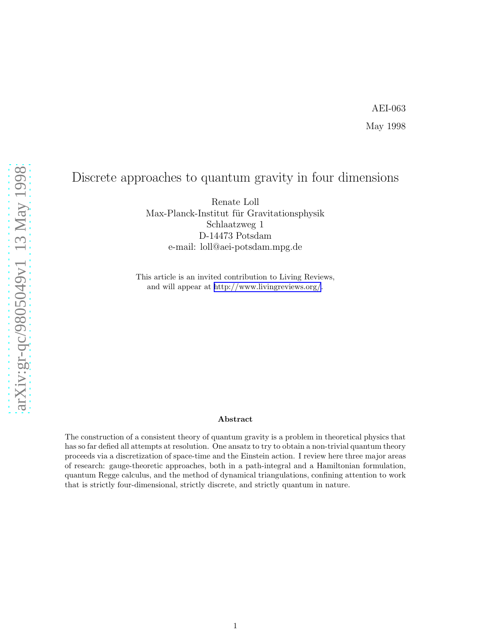# AEI-063 May 1998

# Discrete approaches to quantum gravity in four dimensions

Renate Loll Max-Planck-Institut für Gravitationsphysik Schlaatzweg 1 D-14473 Potsdam e-mail: loll@aei-potsdam.mpg.de

This article is an invited contribution to Living Reviews, and will appear at<http://www.livingreviews.org/>.

# Abstract

The construction of a consistent theory of quantum gravity is a problem in theoretical physics that has so far defied all attempts at resolution. One ansatz to try to obtain a non-trivial quantum theory proceeds via a discretization of space-time and the Einstein action. I review here three major areas of research: gauge-theoretic approaches, both in a path-integral and a Hamiltonian formulation, quantum Regge calculus, and the method of dynamical triangulations, confining attention to work that is strictly four-dimensional, strictly discrete, and strictly quantum in nature.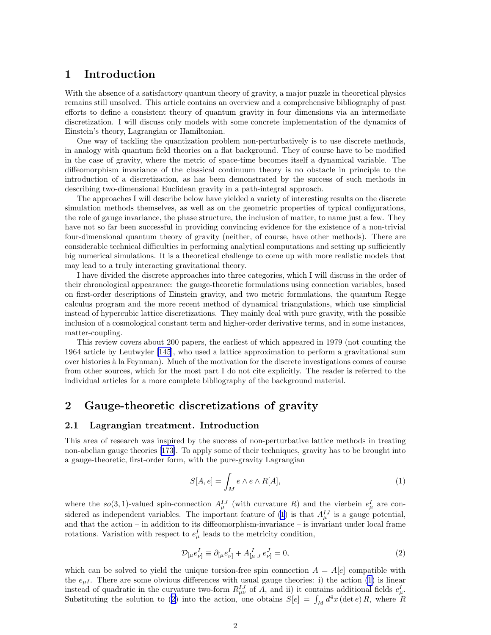# <span id="page-1-0"></span>1 Introduction

With the absence of a satisfactory quantum theory of gravity, a major puzzle in theoretical physics remains still unsolved. This article contains an overview and a comprehensive bibliography of past efforts to define a consistent theory of quantum gravity in four dimensions via an intermediate discretization. I will discuss only models with some concrete implementation of the dynamics of Einstein's theory, Lagrangian or Hamiltonian.

One way of tackling the quantization problem non-perturbatively is to use discrete methods, in analogy with quantum field theories on a flat background. They of course have to be modified in the case of gravity, where the metric of space-time becomes itself a dynamical variable. The diffeomorphism invariance of the classical continuum theory is no obstacle in principle to the introduction of a discretization, as has been demonstrated by the success of such methods in describing two-dimensional Euclidean gravity in a path-integral approach.

The approaches I will describe below have yielded a variety of interesting results on the discrete simulation methods themselves, as well as on the geometric properties of typical configurations, the role of gauge invariance, the phase structure, the inclusion of matter, to name just a few. They have not so far been successful in providing convincing evidence for the existence of a non-trivial four-dimensional quantum theory of gravity (neither, of course, have other methods). There are considerable technical difficulties in performing analytical computations and setting up sufficiently big numerical simulations. It is a theoretical challenge to come up with more realistic models that may lead to a truly interacting gravitational theory.

I have divided the discrete approaches into three categories, which I will discuss in the order of their chronological appearance: the gauge-theoretic formulations using connection variables, based on first-order descriptions of Einstein gravity, and two metric formulations, the quantum Regge calculus program and the more recent method of dynamical triangulations, which use simplicial instead of hypercubic lattice discretizations. They mainly deal with pure gravity, with the possible inclusion of a cosmological constant term and higher-order derivative terms, and in some instances, matter-coupling.

This review covers about 200 papers, the earliest of which appeared in 1979 (not counting the 1964 article by Leutwyler [\[145\]](#page-29-0), who used a lattice approximation to perform a gravitational sum over histories à la Feynman). Much of the motivation for the discrete investigations comes of course from other sources, which for the most part I do not cite explicitly. The reader is referred to the individual articles for a more complete bibliography of the background material.

# 2 Gauge-theoretic discretizations of gravity

#### 2.1 Lagrangian treatment. Introduction

This area of research was inspired by the success of non-perturbative lattice methods in treating non-abelian gauge theories [\[173\]](#page-31-0). To apply some of their techniques, gravity has to be brought into a gauge-theoretic, first-order form, with the pure-gravity Lagrangian

$$
S[A, e] = \int_M e \wedge e \wedge R[A], \qquad (1)
$$

where the so(3, 1)-valued spin-connection  $A_{\mu}^{IJ}$  (with curvature R) and the vierbein  $e_{\mu}^{I}$  are considered as independent variables. The important feature of (1) is that  $A_{\mu}^{IJ}$  is a gauge potential, and that the action – in addition to its diffeomorphism-invariance – is invariant under local frame rotations. Variation with respect to  $e^I_\mu$  leads to the metricity condition,

$$
\mathcal{D}_{\lbrack\mu}e_{\nu]}^{I} \equiv \partial_{\lbrack\mu}e_{\nu]}^{I} + A_{\lbrack\mu}^{I}{}_{J}e_{\nu]}^{J} = 0, \tag{2}
$$

which can be solved to yield the unique torsion-free spin connection  $A = A[e]$  compatible with the  $e_{\mu I}$ . There are some obvious differences with usual gauge theories: i) the action (1) is linear instead of quadratic in the curvature two-form  $R_{\mu\nu}^{IJ}$  of A, and ii) it contains additional fields  $e^I_{\mu}$ . Substituting the solution to (2) into the action, one obtains  $S[e] = \int_M d^4x (\det e) R$ , where R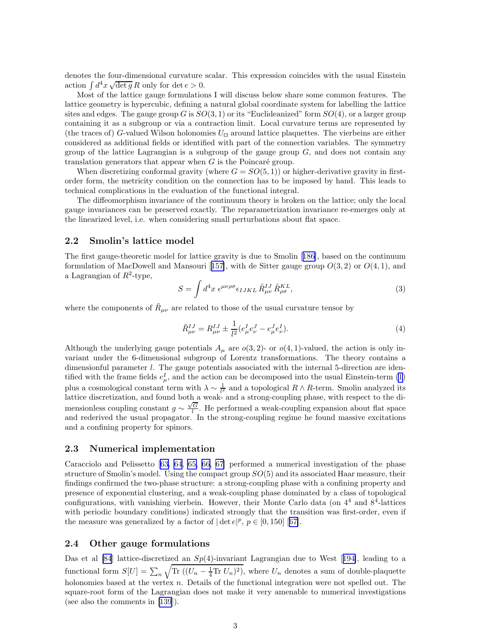denotes the four-dimensional curvature scalar. This expression coincides with the usual Einstein action  $\int d^4x \sqrt{\det g} R$  only for  $\det e > 0$ .

Most of the lattice gauge formulations I will discuss below share some common features. The lattice geometry is hypercubic, defining a natural global coordinate system for labelling the lattice sites and edges. The gauge group G is  $SO(3, 1)$  or its "Euclideanized" form  $SO(4)$ , or a larger group containing it as a subgroup or via a contraction limit. Local curvature terms are represented by (the traces of) G-valued Wilson holonomies  $U_{\square}$  around lattice plaquettes. The vierbeins are either considered as additional fields or identified with part of the connection variables. The symmetry group of the lattice Lagrangian is a subgroup of the gauge group  $G$ , and does not contain any translation generators that appear when  $G$  is the Poincaré group.

When discretizing conformal gravity (where  $G = SO(5, 1)$ ) or higher-derivative gravity in firstorder form, the metricity condition on the connection has to be imposed by hand. This leads to technical complications in the evaluation of the functional integral.

The diffeomorphism invariance of the continuum theory is broken on the lattice; only the local gauge invariances can be preserved exactly. The reparametrization invariance re-emerges only at the linearized level, i.e. when considering small perturbations about flat space.

#### 2.2 Smolin's lattice model

The first gauge-theoretic model for lattice gravity is due to Smolin[[186\]](#page-32-0), based on the continuum formulationof MacDowell and Mansouri [[157\]](#page-30-0), with de Sitter gauge group  $O(3, 2)$  or  $O(4, 1)$ , and a Lagrangian of  $R^2$ -type,

$$
S = \int d^4x \ \epsilon^{\mu\nu\rho\sigma} \epsilon_{IJKL} \tilde{R}^{IJ}_{\mu\nu} \tilde{R}^{KL}_{\rho\sigma}, \tag{3}
$$

where the components of  $\tilde{R}_{\mu\nu}$  are related to those of the usual curvature tensor by

$$
\tilde{R}^{IJ}_{\mu\nu} = R^{IJ}_{\mu\nu} \pm \frac{1}{l^2} (e^I_\mu e^J_\nu - e^J_\mu e^I_\nu). \tag{4}
$$

Although the underlying gauge potentials  $A_\mu$  are  $o(3, 2)$ - or  $o(4, 1)$ -valued, the action is only invariant under the 6-dimensional subgroup of Lorentz transformations. The theory contains a dimensionful parameter *l*. The gauge potentials associated with the internal 5-direction are identified with the frame fields  $e^I_\mu$ , and the action can be decomposed into the usual Einstein-term [\(1](#page-1-0)) plus a cosmological constant term with  $\lambda \sim \frac{1}{l^2}$  and a topological  $R \wedge R$ -term. Smolin analyzed its lattice discretization, and found both a weak- and a strong-coupling phase, with respect to the dimensionless coupling constant  $g \sim \frac{\sqrt{G}}{l}$ . He performed a weak-coupling expansion about flat space and rederived the usual propagator. In the strong-coupling regime he found massive excitations and a confining property for spinors.

# 2.3 Numerical implementation

Caracciolo and Pelissetto [\[63, 64](#page-24-0), [65, 66, 67\]](#page-24-0) performed a numerical investigation of the phase structure of Smolin's model. Using the compact group  $SO(5)$  and its associated Haar measure, their findings confirmed the two-phase structure: a strong-coupling phase with a confining property and presence of exponential clustering, and a weak-coupling phase dominated by a class of topological configurations, with vanishing vierbein. However, their Monte Carlo data (on  $4^4$  and  $8^4$ -lattices with periodic boundary conditions) indicated strongly that the transition was first-order, even if themeasure was generalized by a factor of  $|\det e|^p$ ,  $p \in [0, 150]$  [[67\]](#page-24-0).

## 2.4 Other gauge formulations

Das et al [\[84](#page-25-0)]lattice-discretized an  $Sp(4)$ -invariant Lagrangian due to West [[194\]](#page-32-0), leading to a functional form  $S[U] = \sum_n \sqrt{\text{Tr}((U_n - \frac{1}{4}\text{Tr }U_n)^2)}$ , where  $U_n$  denotes a sum of double-plaquette holonomies based at the vertex  $n$ . Details of the functional integration were not spelled out. The square-root form of the Lagrangian does not make it very amenable to numerical investigations (see also the comments in [\[139](#page-29-0)]).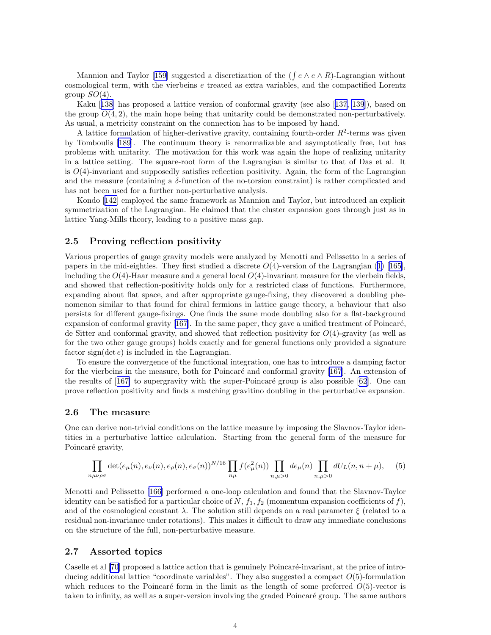Mannionand Taylor [[159\]](#page-30-0) suggested a discretization of the ( $\int e \wedge e \wedge R$ )-Lagrangian without cosmological term, with the vierbeins e treated as extra variables, and the compactified Lorentz group  $SO(4)$ .

Kaku[[138\]](#page-29-0) has proposed a lattice version of conformal gravity (see also[[137, 139](#page-29-0)]), based on the group  $O(4, 2)$ , the main hope being that unitarity could be demonstrated non-perturbatively. As usual, a metricity constraint on the connection has to be imposed by hand.

A lattice formulation of higher-derivative gravity, containing fourth-order  $R^2$ -terms was given by Tomboulis [\[189](#page-32-0)]. The continuum theory is renormalizable and asymptotically free, but has problems with unitarity. The motivation for this work was again the hope of realizing unitarity in a lattice setting. The square-root form of the Lagrangian is similar to that of Das et al. It is  $O(4)$ -invariant and supposedly satisfies reflection positivity. Again, the form of the Lagrangian and the measure (containing a  $\delta$ -function of the no-torsion constraint) is rather complicated and has not been used for a further non-perturbative analysis.

Kondo[[142\]](#page-29-0) employed the same framework as Mannion and Taylor, but introduced an explicit symmetrization of the Lagrangian. He claimed that the cluster expansion goes through just as in lattice Yang-Mills theory, leading to a positive mass gap.

# 2.5 Proving reflection positivity

Various properties of gauge gravity models were analyzed by Menotti and Pelissetto in a series of papersin the mid-eighties. They first studied a discrete  $O(4)$ -version of the Lagrangian ([1\)](#page-1-0) [[165\]](#page-31-0), including the  $O(4)$ -Haar measure and a general local  $O(4)$ -invariant measure for the vierbein fields, and showed that reflection-positivity holds only for a restricted class of functions. Furthermore, expanding about flat space, and after appropriate gauge-fixing, they discovered a doubling phenomenon similar to that found for chiral fermions in lattice gauge theory, a behaviour that also persists for different gauge-fixings. One finds the same mode doubling also for a flat-background expansionof conformal gravity  $[167]$  $[167]$ . In the same paper, they gave a unified treatment of Poincaré, de Sitter and conformal gravity, and showed that reflection positivity for  $O(4)$ -gravity (as well as for the two other gauge groups) holds exactly and for general functions only provided a signature factor sign(det  $e$ ) is included in the Lagrangian.

To ensure the convergence of the functional integration, one has to introduce a damping factor for the vierbeins in the measure, both for Poincaré and conformal gravity  $[167]$ . An extension of theresults of  $[167]$  $[167]$  to supergravity with the super-Poincaré group is also possible  $[62]$  $[62]$ . One can prove reflection positivity and finds a matching gravitino doubling in the perturbative expansion.

#### 2.6 The measure

One can derive non-trivial conditions on the lattice measure by imposing the Slavnov-Taylor identities in a perturbative lattice calculation. Starting from the general form of the measure for Poincaré gravity,

$$
\prod_{n\mu\nu\rho\sigma} \det(e_{\mu}(n), e_{\nu}(n), e_{\rho}(n), e_{\sigma}(n))^{N/16} \prod_{n\mu} f(e_{\mu}^2(n)) \prod_{n,\mu>0} de_{\mu}(n) \prod_{n,\mu>0} dU_L(n, n+\mu), \quad (5)
$$

Menotti and Pelissetto [\[166](#page-31-0)] performed a one-loop calculation and found that the Slavnov-Taylor identity can be satisfied for a particular choice of N,  $f_1, f_2$  (momentum expansion coefficients of f), and of the cosmological constant  $\lambda$ . The solution still depends on a real parameter  $\xi$  (related to a residual non-invariance under rotations). This makes it difficult to draw any immediate conclusions on the structure of the full, non-perturbative measure.

### 2.7 Assorted topics

Caselleet al [[70\]](#page-24-0) proposed a lattice action that is genuinely Poincaré-invariant, at the price of introducing additional lattice "coordinate variables". They also suggested a compact  $O(5)$ -formulation which reduces to the Poincaré form in the limit as the length of some preferred  $O(5)$ -vector is taken to infinity, as well as a super-version involving the graded Poincaré group. The same authors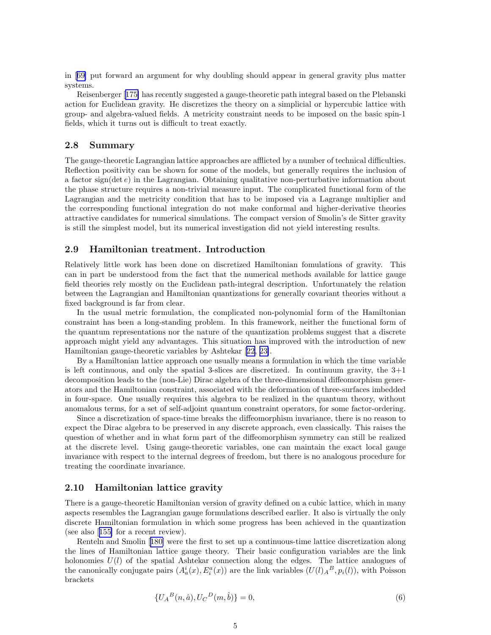in[[69\]](#page-24-0) put forward an argument for why doubling should appear in general gravity plus matter systems.

Reisenberger[[175\]](#page-31-0) has recently suggested a gauge-theoretic path integral based on the Plebanski action for Euclidean gravity. He discretizes the theory on a simplicial or hypercubic lattice with group- and algebra-valued fields. A metricity constraint needs to be imposed on the basic spin-1 fields, which it turns out is difficult to treat exactly.

# 2.8 Summary

The gauge-theoretic Lagrangian lattice approaches are afflicted by a number of technical difficulties. Reflection positivity can be shown for some of the models, but generally requires the inclusion of a factor sign(det  $e$ ) in the Lagrangian. Obtaining qualitative non-perturbative information about the phase structure requires a non-trivial measure input. The complicated functional form of the Lagrangian and the metricity condition that has to be imposed via a Lagrange multiplier and the corresponding functional integration do not make conformal and higher-derivative theories attractive candidates for numerical simulations. The compact version of Smolin's de Sitter gravity is still the simplest model, but its numerical investigation did not yield interesting results.

#### 2.9 Hamiltonian treatment. Introduction

Relatively little work has been done on discretized Hamiltonian fomulations of gravity. This can in part be understood from the fact that the numerical methods available for lattice gauge field theories rely mostly on the Euclidean path-integral description. Unfortunately the relation between the Lagrangian and Hamiltonian quantizations for generally covariant theories without a fixed background is far from clear.

In the usual metric formulation, the complicated non-polynomial form of the Hamiltonian constraint has been a long-standing problem. In this framework, neither the functional form of the quantum representations nor the nature of the quantization problems suggest that a discrete approach might yield any advantages. This situation has improved with the introduction of new Hamiltonian gauge-theoretic variables by Ashtekar[[22, 23\]](#page-21-0).

By a Hamiltonian lattice approach one usually means a formulation in which the time variable is left continuous, and only the spatial 3-slices are discretized. In continuum gravity, the  $3+1$ decomposition leads to the (non-Lie) Dirac algebra of the three-dimensional diffeomorphism generators and the Hamiltonian constraint, associated with the deformation of three-surfaces imbedded in four-space. One usually requires this algebra to be realized in the quantum theory, without anomalous terms, for a set of self-adjoint quantum constraint operators, for some factor-ordering.

Since a discretization of space-time breaks the diffeomorphism invariance, there is no reason to expect the Dirac algebra to be preserved in any discrete approach, even classically. This raises the question of whether and in what form part of the diffeomorphism symmetry can still be realized at the discrete level. Using gauge-theoretic variables, one can maintain the exact local gauge invariance with respect to the internal degrees of freedom, but there is no analogous procedure for treating the coordinate invariance.

#### 2.10 Hamiltonian lattice gravity

There is a gauge-theoretic Hamiltonian version of gravity defined on a cubic lattice, which in many aspects resembles the Lagrangian gauge formulations described earlier. It also is virtually the only discrete Hamiltonian formulation in which some progress has been achieved in the quantization (see also[[155\]](#page-30-0) for a recent review).

Renteln and Smolin[[180\]](#page-31-0) were the first to set up a continuous-time lattice discretization along the lines of Hamiltonian lattice gauge theory. Their basic configuration variables are the link holonomies  $U(l)$  of the spatial Ashtekar connection along the edges. The lattice analogues of the canonically conjugate pairs  $(A_a^i(x), E_a^a(x))$  are the link variables  $(U(l)_A{}^B, p_i(l))$ , with Poisson brackets

$$
\{U_A{}^B(n,\hat{a}), U_C{}^D(m,\hat{b})\} = 0,\t\t(6)
$$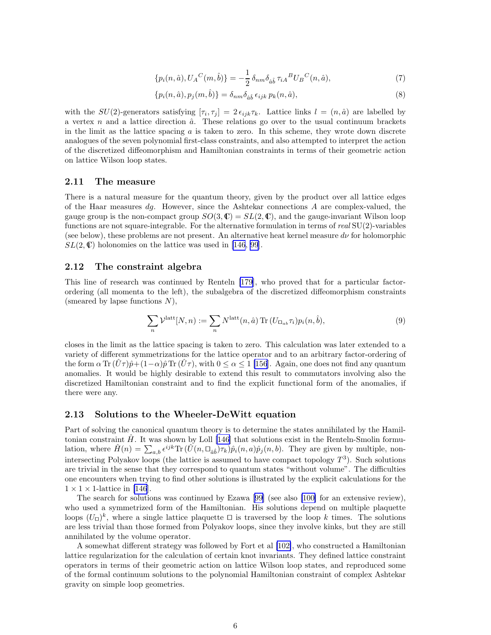$$
\{p_i(n,\hat{a}), U_A{}^C(m,\hat{b})\} = -\frac{1}{2} \,\delta_{nm} \delta_{\hat{a}\hat{b}} \,\tau_{iA}{}^B U_B{}^C(n,\hat{a}),\tag{7}
$$

$$
\{p_i(n,\hat{a}), p_j(m,\hat{b})\} = \delta_{nm}\delta_{\hat{a}\hat{b}}\,\epsilon_{ijk}\,p_k(n,\hat{a}),\tag{8}
$$

with the SU(2)-generators satisfying  $[\tau_i, \tau_j] = 2 \epsilon_{ijk} \tau_k$ . Lattice links  $l = (n, \hat{a})$  are labelled by a vertex  $n$  and a lattice direction  $\hat{a}$ . These relations go over to the usual continuum brackets in the limit as the lattice spacing  $a$  is taken to zero. In this scheme, they wrote down discrete analogues of the seven polynomial first-class constraints, and also attempted to interpret the action of the discretized diffeomorphism and Hamiltonian constraints in terms of their geometric action on lattice Wilson loop states.

#### 2.11 The measure

There is a natural measure for the quantum theory, given by the product over all lattice edges of the Haar measures dg. However, since the Ashtekar connections A are complex-valued, the gauge group is the non-compact group  $SO(3,\mathbb{C}) = SL(2,\mathbb{C})$ , and the gauge-invariant Wilson loop functions are not square-integrable. For the alternative formulation in terms of *real* SU(2)-variables (see below), these problems are not present. An alternative heat kernel measure  $d\nu$  for holomorphic  $SL(2,\mathbb{C})$  holonomies on the lattice was used in [\[146](#page-29-0), [99](#page-27-0)].

# 2.12 The constraint algebra

This line of research was continued by Renteln [\[179](#page-31-0)], who proved that for a particular factorordering (all momenta to the left), the subalgebra of the discretized diffeomorphism constraints (smeared by lapse functions  $N$ ),

$$
\sum_{n} \mathcal{V}^{\text{latt}}[N,n) := \sum_{n} N^{\text{latt}}(n,\hat{a}) \operatorname{Tr} (U_{\Box_{ab}} \tau_i) p_i(n,\hat{b}), \tag{9}
$$

closes in the limit as the lattice spacing is taken to zero. This calculation was later extended to a variety of different symmetrizations for the lattice operator and to an arbitrary factor-ordering of the form  $\alpha$  Tr  $(U\tau)\hat{p}+(1-\alpha)\hat{p}$  Tr  $(U\tau)$ , with  $0 \leq \alpha \leq 1$  [\[156](#page-30-0)]. Again, one does not find any quantum anomalies. It would be highly desirable to extend this result to commutators involving also the discretized Hamiltonian constraint and to find the explicit functional form of the anomalies, if there were any.

# 2.13 Solutions to the Wheeler-DeWitt equation

Part of solving the canonical quantum theory is to determine the states annihilated by the Hamiltonian constraint  $H$ . It was shown by Loll [\[146](#page-29-0)] that solutions exist in the Renteln-Smolin formulation, where  $\hat{H}(n) = \sum_{a,b} \epsilon^{ijk} \text{Tr} (\hat{U}(n, \Box_{\hat{a}\hat{b}})\tau_k) \hat{p}_i(n, a) \hat{p}_j(n, b)$ . They are given by multiple, nonintersecting Polyakov loops (the lattice is assumed to have compact topology  $T^3$ ). Such solutions are trivial in the sense that they correspond to quantum states "without volume". The difficulties one encounters when trying to find other solutions is illustrated by the explicit calculations for the  $1 \times 1 \times 1$ -lattice in [\[146](#page-29-0)].

The search for solutions was continued by Ezawa[[99\]](#page-27-0) (see also [\[100\]](#page-27-0) for an extensive review), who used a symmetrized form of the Hamiltonian. His solutions depend on multiple plaquette loops  $(U_{\Box})^k$ , where a single lattice plaquette  $\square$  is traversed by the loop k times. The solutions are less trivial than those formed from Polyakov loops, since they involve kinks, but they are still annihilated by the volume operator.

A somewhat different strategy was followed by Fort et al [\[102\]](#page-27-0), who constructed a Hamiltonian lattice regularization for the calculation of certain knot invariants. They defined lattice constraint operators in terms of their geometric action on lattice Wilson loop states, and reproduced some of the formal continuum solutions to the polynomial Hamiltonian constraint of complex Ashtekar gravity on simple loop geometries.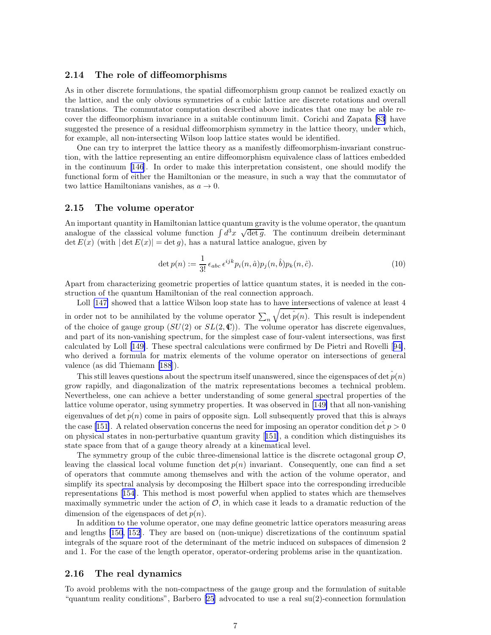# 2.14 The role of diffeomorphisms

As in other discrete formulations, the spatial diffeomorphism group cannot be realized exactly on the lattice, and the only obvious symmetries of a cubic lattice are discrete rotations and overall translations. The commutator computation described above indicates that one may be able recover the diffeomorphism invariance in a suitable continuum limit. Corichi and Zapata [\[83\]](#page-25-0) have suggested the presence of a residual diffeomorphism symmetry in the lattice theory, under which, for example, all non-intersecting Wilson loop lattice states would be identified.

One can try to interpret the lattice theory as a manifestly diffeomorphism-invariant construction, with the lattice representing an entire diffeomorphism equivalence class of lattices embedded in the continuum [\[146](#page-29-0)]. In order to make this interpretation consistent, one should modify the functional form of either the Hamiltonian or the measure, in such a way that the commutator of two lattice Hamiltonians vanishes, as  $a \to 0$ .

#### 2.15 The volume operator

An important quantity in Hamiltonian lattice quantum gravity is the volume operator, the quantum analogue of the classical volume function  $\int d^3x \sqrt{\det g}$ . The continuum dreibein determinant  $\det E(x)$  (with  $|\det E(x)| = \det g$ ), has a natural lattice analogue, given by

$$
\det p(n) := \frac{1}{3!} \epsilon_{abc} \epsilon^{ijk} p_i(n, \hat{a}) p_j(n, \hat{b}) p_k(n, \hat{c}). \tag{10}
$$

Apart from characterizing geometric properties of lattice quantum states, it is needed in the construction of the quantum Hamiltonian of the real connection approach.

Loll [\[147\]](#page-29-0) showed that a lattice Wilson loop state has to have intersections of valence at least 4 in order not to be annihilated by the volume operator  $\sum_n \sqrt{\det \hat{p}(n)}$ . This result is independent of the choice of gauge group  $(SU(2)$  or  $SL(2, \mathbb{C}))$ . The volume operator has discrete eigenvalues, and part of its non-vanishing spectrum, for the simplest case of four-valent intersections, was first calculated by Loll [\[149\]](#page-30-0). These spectral calculations were confirmed by De Pietri and Rovelli[[94\]](#page-26-0), who derived a formula for matrix elements of the volume operator on intersections of general valence (as did Thiemann [\[188](#page-32-0)]).

This still leaves questions about the spectrum itself unanswered, since the eigenspaces of det  $p(n)$ grow rapidly, and diagonalization of the matrix representations becomes a technical problem. Nevertheless, one can achieve a better understanding of some general spectral properties of the lattice volume operator, using symmetry properties. It was observed in [\[149\]](#page-30-0) that all non-vanishing eigenvalues of det  $\hat{p}(n)$  come in pairs of opposite sign. Loll subsequently proved that this is always thecase [[151\]](#page-30-0). A related observation concerns the need for imposing an operator condition det  $p > 0$ on physical states in non-perturbative quantum gravity[[151\]](#page-30-0), a condition which distinguishes its state space from that of a gauge theory already at a kinematical level.

The symmetry group of the cubic three-dimensional lattice is the discrete octagonal group  $\mathcal{O}$ , leaving the classical local volume function  $\det p(n)$  invariant. Consequently, one can find a set of operators that commute among themselves and with the action of the volume operator, and simplify its spectral analysis by decomposing the Hilbert space into the corresponding irreducible representations[[154\]](#page-30-0). This method is most powerful when applied to states which are themselves maximally symmetric under the action of  $\mathcal{O}$ , in which case it leads to a dramatic reduction of the dimension of the eigenspaces of det  $p(n)$ .

In addition to the volume operator, one may define geometric lattice operators measuring areas and lengths [\[150](#page-30-0), [152\]](#page-30-0). They are based on (non-unique) discretizations of the continuum spatial integrals of the square root of the determinant of the metric induced on subspaces of dimension 2 and 1. For the case of the length operator, operator-ordering problems arise in the quantization.

## 2.16 The real dynamics

To avoid problems with the non-compactness of the gauge group and the formulation of suitable "quantum reality conditions", Barbero [\[25](#page-21-0)] advocated to use a real su(2)-connection formulation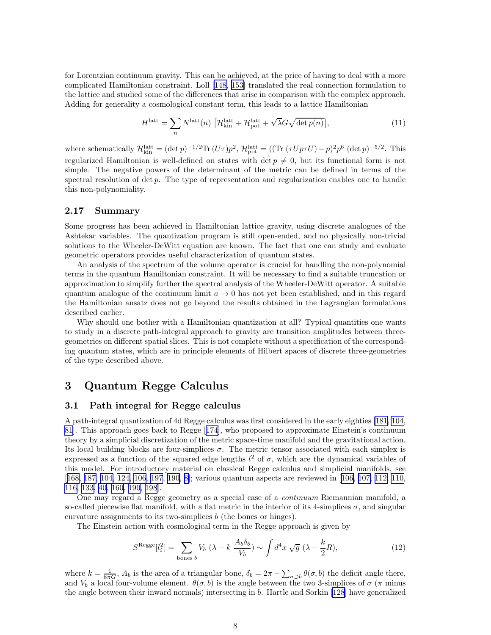<span id="page-7-0"></span>for Lorentzian continuum gravity. This can be achieved, at the price of having to deal with a more complicated Hamiltonian constraint. Loll [\[148, 153\]](#page-30-0) translated the real connection formulation to the lattice and studied some of the differences that arise in comparison with the complex approach. Adding for generality a cosmological constant term, this leads to a lattice Hamiltonian

$$
H^{\text{latt}} = \sum_{n} N^{\text{latt}}(n) \left[ \mathcal{H}_{\text{kin}}^{\text{latt}} + \mathcal{H}_{\text{pot}}^{\text{latt}} + \sqrt{\lambda} G \sqrt{\det p(n)} \right],\tag{11}
$$

where schematically  $\mathcal{H}_{\text{kin}}^{\text{latt}} = (\det p)^{-1/2} \text{Tr} (U\tau) p^2$ ,  $\mathcal{H}_{\text{pot}}^{\text{latt}} = ((\text{Tr} (\tau U p \tau U) - p)^2 p^6 (\det p)^{-5/2}$ . This regularized Hamiltonian is well-defined on states with det  $p \neq 0$ , but its functional form is not simple. The negative powers of the determinant of the metric can be defined in terms of the spectral resolution of det  $p$ . The type of representation and regularization enables one to handle this non-polynomiality.

## 2.17 Summary

Some progress has been achieved in Hamiltonian lattice gravity, using discrete analogues of the Ashtekar variables. The quantization program is still open-ended, and no physically non-trivial solutions to the Wheeler-DeWitt equation are known. The fact that one can study and evaluate geometric operators provides useful characterization of quantum states.

An analysis of the spectrum of the volume operator is crucial for handling the non-polynomial terms in the quantum Hamiltonian constraint. It will be necessary to find a suitable truncation or approximation to simplify further the spectral analysis of the Wheeler-DeWitt operator. A suitable quantum analogue of the continuum limit  $a \to 0$  has not yet been established, and in this regard the Hamiltonian ansatz does not go beyond the results obtained in the Lagrangian formulations described earlier.

Why should one bother with a Hamiltonian quantization at all? Typical quantities one wants to study in a discrete path-integral approach to gravity are transition amplitudes between threegeometries on different spatial slices. This is not complete without a specification of the corresponding quantum states, which are in principle elements of Hilbert spaces of discrete three-geometries of the type described above.

# 3 Quantum Regge Calculus

# 3.1 Path integral for Regge calculus

A path-integral quantization of 4d Regge calculus was first considered in the early eighties [\[181](#page-31-0), [104,](#page-27-0) [81\]](#page-25-0). This approach goes back to Regge[[174\]](#page-31-0), who proposed to approximate Einstein's continuum theory by a simplicial discretization of the metric space-time manifold and the gravitational action. Its local building blocks are four-simplices  $\sigma$ . The metric tensor associated with each simplex is expressed as a function of the squared edge lengths  $l^2$  of  $\sigma$ , which are the dynamical variables of this model. For introductory material on classical Regge calculus and simplicial manifolds, see [[168,](#page-31-0) [187,](#page-32-0) [104,](#page-27-0) [124,](#page-28-0) [106](#page-27-0), [197](#page-32-0), [190,](#page-32-0) [8\]](#page-20-0); various quantum aspects are reviewed in[[106, 107, 112, 110,](#page-27-0) [116,](#page-28-0) [133,](#page-29-0) [40,](#page-22-0) [160,](#page-30-0) [190, 198](#page-32-0)].

One may regard a Regge geometry as a special case of a *continuum* Riemannian manifold, a so-called piecewise flat manifold, with a flat metric in the interior of its 4-simplices  $\sigma$ , and singular curvature assignments to its two-simplices b (the bones or hinges).

The Einstein action with cosmological term in the Regge approach is given by

$$
S^{\text{Regge}}[l_i^2] = \sum_{\text{bones }b} V_b \left(\lambda - k \frac{A_b \delta_b}{V_b}\right) \sim \int d^4x \sqrt{g} \left(\lambda - \frac{k}{2}R\right),\tag{12}
$$

where  $k = \frac{1}{8\pi G}$ ,  $A_b$  is the area of a triangular bone,  $\delta_b = 2\pi - \sum_{\sigma \supset b} \theta(\sigma, b)$  the deficit angle there, and  $V_b$  a local four-volume element.  $\theta(\sigma, b)$  is the angle between the two 3-simplices of  $\sigma$  ( $\pi$  minus the angle between their inward normals) intersecting in b. Hartle and Sorkin [\[128\]](#page-28-0) have generalized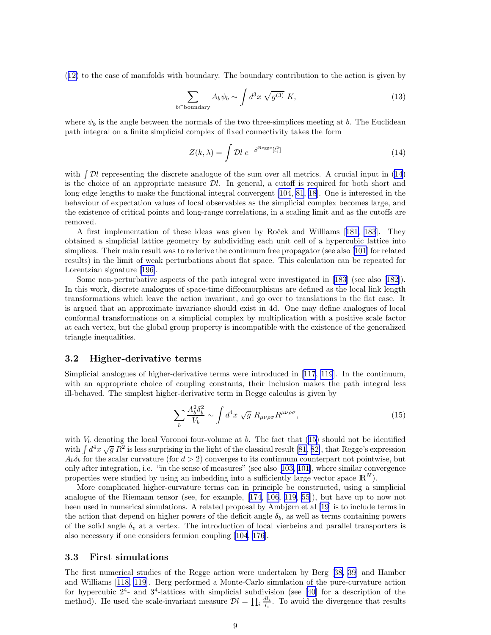<span id="page-8-0"></span>([12\)](#page-7-0) to the case of manifolds with boundary. The boundary contribution to the action is given by

$$
\sum_{b \subset \text{boundary}} A_b \psi_b \sim \int d^3x \sqrt{g^{(3)}} \, K,\tag{13}
$$

where  $\psi_b$  is the angle between the normals of the two three-simplices meeting at b. The Euclidean path integral on a finite simplicial complex of fixed connectivity takes the form

$$
Z(k,\lambda) = \int \mathcal{D}l \ e^{-S^{\text{Regge}}[l_i^2]} \tag{14}
$$

with  $\int \mathcal{D}l$  representing the discrete analogue of the sum over all metrics. A crucial input in (14) is the choice of an appropriate measure  $\mathcal{D}l$ . In general, a cutoff is required for both short and long edge lengths to make the functional integral convergent [\[104](#page-27-0), [81](#page-25-0), [18\]](#page-21-0). One is interested in the behaviour of expectation values of local observables as the simplicial complex becomes large, and the existence of critical points and long-range correlations, in a scaling limit and as the cutoffs are removed.

Afirst implementation of these ideas was given by Roček and Williams [[181,](#page-31-0) [183](#page-32-0)]. They obtained a simplicial lattice geometry by subdividing each unit cell of a hypercubic lattice into simplices. Their main result was to rederive the continuum free propagator (see also[[101\]](#page-27-0) for related results) in the limit of weak perturbations about flat space. This calculation can be repeated for Lorentzian signature[[196\]](#page-32-0).

Some non-perturbative aspects of the path integral were investigated in [\[183](#page-32-0)] (see also[[182\]](#page-32-0)). In this work, discrete analogues of space-time diffeomorphisms are defined as the local link length transformations which leave the action invariant, and go over to translations in the flat case. It is argued that an approximate invariance should exist in 4d. One may define analogues of local conformal transformations on a simplicial complex by multiplication with a positive scale factor at each vertex, but the global group property is incompatible with the existence of the generalized triangle inequalities.

# 3.2 Higher-derivative terms

Simplicial analogues of higher-derivative terms were introduced in[[117, 119](#page-28-0)]. In the continuum, with an appropriate choice of coupling constants, their inclusion makes the path integral less ill-behaved. The simplest higher-derivative term in Regge calculus is given by

$$
\sum_{b} \frac{A_b^2 \delta_b^2}{V_b} \sim \int d^4 x \sqrt{g} R_{\mu\nu\rho\sigma} R^{\mu\nu\rho\sigma},\tag{15}
$$

with  $V_b$  denoting the local Voronoi four-volume at b. The fact that (15) should not be identified with  $\int d^4x \sqrt{g} R^2$  is less surprising in the light of the classical result [\[81, 82\]](#page-25-0), that Regge's expression  $A_b\delta_b$  for the scalar curvature (for  $d > 2$ ) converges to its continuum counterpart not pointwise, but only after integration, i.e. "in the sense of measures" (see also[[103, 101\]](#page-27-0), where similar convergence properties were studied by using an imbedding into a sufficiently large vector space  $\mathbb{R}^N$ ).

More complicated higher-curvature terms can in principle be constructed, using a simplicial analogue of the Riemann tensor (see, for example, [\[174](#page-31-0), [106,](#page-27-0) [119,](#page-28-0) [55](#page-23-0)]), but have up to now not been used in numerical simulations. A related proposal by Ambjørn et al [\[19](#page-21-0)] is to include terms in the action that depend on higher powers of the deficit angle  $\delta_b$ , as well as terms containing powers of the solid angle  $\delta_v$  at a vertex. The introduction of local vierbeins and parallel transporters is also necessary if one considers fermion coupling [\[104,](#page-27-0) [176\]](#page-31-0).

#### 3.3 First simulations

The first numerical studies of the Regge action were undertaken by Berg[[38, 39\]](#page-22-0) and Hamber and Williams[[118, 119](#page-28-0)]. Berg performed a Monte-Carlo simulation of the pure-curvature action forhypercubic  $2^4$ - and  $3^4$ -lattices with simplicial subdivision (see [[40\]](#page-22-0) for a description of the method). He used the scale-invariant measure  $\mathcal{D}l = \prod_i \frac{dl_i}{l_i}$ . To avoid the divergence that results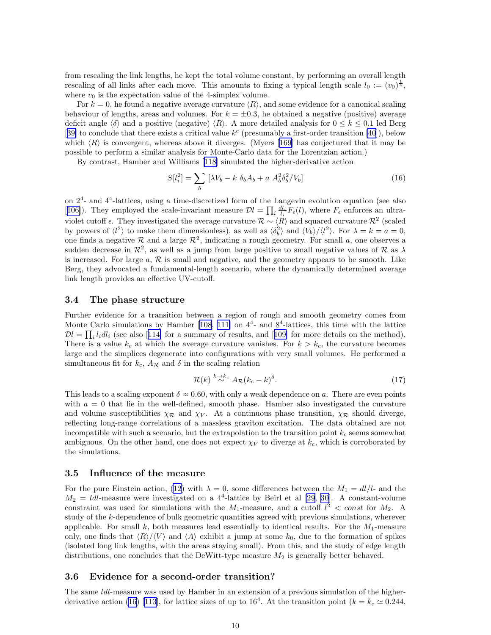<span id="page-9-0"></span>from rescaling the link lengths, he kept the total volume constant, by performing an overall length rescaling of all links after each move. This amounts to fixing a typical length scale  $l_0 := (v_0)^{\frac{1}{4}}$ , where  $v_0$  is the expectation value of the 4-simplex volume.

For  $k = 0$ , he found a negative average curvature  $\langle R \rangle$ , and some evidence for a canonical scaling behaviour of lengths, areas and volumes. For  $k = \pm 0.3$ , he obtained a negative (positive) average deficit angle  $\langle \delta \rangle$  and a positive (negative)  $\langle R \rangle$ . A more detailed analysis for  $0 \le k \le 0.1$  led Berg [[39\]](#page-22-0)to conclude that there exists a critical value  $k^c$  (presumably a first-order transition [[40\]](#page-22-0)), below which $\langle R \rangle$  is convergent, whereas above it diverges. (Myers [[169\]](#page-31-0) has conjectured that it may be possible to perform a similar analysis for Monte-Carlo data for the Lorentzian action.)

By contrast, Hamber and Williams[[118\]](#page-28-0) simulated the higher-derivative action

$$
S[l_i^2] = \sum_b \left[ \lambda V_b - k \ \delta_b A_b + a \ A_b^2 \delta_b^2 / V_b \right] \tag{16}
$$

on 2<sup>4</sup> - and 4<sup>4</sup> -lattices, using a time-discretized form of the Langevin evolution equation (see also [[106\]](#page-27-0)). They employed the scale-invariant measure  $\mathcal{D}l = \prod_i \frac{dl_i}{l_i} F_{\epsilon}(l)$ , where  $F_{\epsilon}$  enforces an ultraviolet cutoff  $\epsilon$ . They investigated the average curvature  $\mathcal{R} \sim \langle R \rangle$  and squared curvature  $\mathcal{R}^2$  (scaled by powers of  $\langle l^2 \rangle$  to make them dimensionless), as well as  $\langle \delta_b^2 \rangle$  and  $\langle V_b \rangle / \langle l^2 \rangle$ . For  $\lambda = k = a = 0$ , one finds a negative  $\mathcal R$  and a large  $\mathcal R^2$ , indicating a rough geometry. For small a, one observes a sudden decrease in  $\mathcal{R}^2$ , as well as a jump from large positive to small negative values of  $\mathcal{R}$  as  $\lambda$ is increased. For large  $a, \mathcal{R}$  is small and negative, and the geometry appears to be smooth. Like Berg, they advocated a fundamental-length scenario, where the dynamically determined average link length provides an effective UV-cutoff.

#### 3.4 The phase structure

Further evidence for a transition between a region of rough and smooth geometry comes from Monte Carlo simulations by Hamber [\[108](#page-27-0), [111\]](#page-27-0) on  $4^4$ - and  $8^4$ -lattices, this time with the lattice  $\mathcal{D}l = \prod_i l_i dl_i$  $\mathcal{D}l = \prod_i l_i dl_i$  $\mathcal{D}l = \prod_i l_i dl_i$  (see also [[114\]](#page-27-0) for a summary of results, and [[109\]](#page-27-0) for more details on the method). There is a value  $k_c$  at which the average curvature vanishes. For  $k > k_c$ , the curvature becomes large and the simplices degenerate into configurations with very small volumes. He performed a simultaneous fit for  $k_c$ ,  $A_{\mathcal{R}}$  and  $\delta$  in the scaling relation

$$
\mathcal{R}(k) \stackrel{k \to k_c}{\sim} A_{\mathcal{R}} (k_c - k)^{\delta}.
$$
 (17)

This leads to a scaling exponent  $\delta \approx 0.60$ , with only a weak dependence on a. There are even points with  $a = 0$  that lie in the well-defined, smooth phase. Hamber also investigated the curvature and volume susceptibilities  $\chi_{\mathcal{R}}$  and  $\chi_V$ . At a continuous phase transition,  $\chi_{\mathcal{R}}$  should diverge, reflecting long-range correlations of a massless graviton excitation. The data obtained are not incompatible with such a scenario, but the extrapolation to the transition point  $k_c$  seems somewhat ambiguous. On the other hand, one does not expect  $\chi_V$  to diverge at  $k_c$ , which is corroborated by the simulations.

#### 3.5 Influence of the measure

For the pure Einstein action, [\(12](#page-7-0)) with  $\lambda = 0$ , some differences between the  $M_1 = dl/l$ - and the  $M_2 = ldl$  $M_2 = ldl$  $M_2 = ldl$ -measure were investigated on a 4<sup>4</sup>-lattice by Beirl et al [[29, 30](#page-22-0)]. A constant-volume constraint was used for simulations with the  $M_1$ -measure, and a cutoff  $l^2 < const$  for  $M_2$ . A study of the k-dependence of bulk geometric quantities agreed with previous simulations, wherever applicable. For small k, both measures lead essentially to identical results. For the  $M_1$ -measure only, one finds that  $\langle R \rangle / \langle V \rangle$  and  $\langle A \rangle$  exhibit a jump at some  $k_0$ , due to the formation of spikes (isolated long link lengths, with the areas staying small). From this, and the study of edge length distributions, one concludes that the DeWitt-type measure  $M_2$  is generally better behaved.

#### 3.6 Evidence for a second-order transition?

The same ldl-measure was used by Hamber in an extension of a previous simulation of the higher-derivative action (16) [\[113](#page-27-0)], for lattice sizes of up to 16<sup>4</sup>. At the transition point ( $k = k_c \simeq 0.244$ ,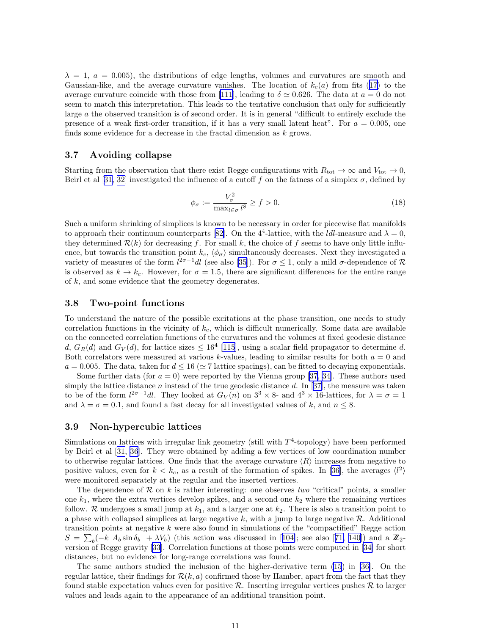$\lambda = 1, a = 0.005$ , the distributions of edge lengths, volumes and curvatures are smooth and Gaussian-like,and the average curvature vanishes. The location of  $k_c(a)$  from fits ([17\)](#page-9-0) to the average curvature coincide with those from [\[111](#page-27-0)], leading to  $\delta \simeq 0.626$ . The data at  $a = 0$  do not seem to match this interpretation. This leads to the tentative conclusion that only for sufficiently large a the observed transition is of second order. It is in general "difficult to entirely exclude the presence of a weak first-order transition, if it has a very small latent heat". For  $a = 0.005$ , one finds some evidence for a decrease in the fractal dimension as  $k$  grows.

# 3.7 Avoiding collapse

Starting from the observation that there exist Regge configurations with  $R_{\text{tot}} \to \infty$  and  $V_{\text{tot}} \to 0$ , Beirlet al [[31, 32\]](#page-22-0) investigated the influence of a cutoff f on the fatness of a simplex  $\sigma$ , defined by

$$
\phi_{\sigma} := \frac{V_{\sigma}^2}{\max_{l \in \sigma} l^8} \ge f > 0. \tag{18}
$$

Such a uniform shrinking of simplices is known to be necessary in order for piecewise flat manifolds toapproach their continuum counterparts [[82\]](#page-25-0). On the 4<sup>4</sup>-lattice, with the *ldl*-measure and  $\lambda = 0$ , they determined  $\mathcal{R}(k)$  for decreasing f. For small k, the choice of f seems to have only little influence, but towards the transition point  $k_c$ ,  $\langle \phi_{\sigma} \rangle$  simultaneously decreases. Next they investigated a varietyof measures of the form  $l^{2\sigma-1}dl$  (see also [[35\]](#page-22-0)). For  $\sigma \leq 1$ , only a mild  $\sigma$ -dependence of  $\mathcal R$ is observed as  $k \to k_c$ . However, for  $\sigma = 1.5$ , there are significant differences for the entire range of k, and some evidence that the geometry degenerates.

### 3.8 Two-point functions

To understand the nature of the possible excitations at the phase transition, one needs to study correlation functions in the vicinity of  $k_c$ , which is difficult numerically. Some data are available on the connected correlation functions of the curvatures and the volumes at fixed geodesic distance d,  $G_R(d)$  and  $G_V(d)$ , for lattice sizes  $\leq 16^4$  [\[115](#page-27-0)], using a scalar field propagator to determine d. Both correlators were measured at various k-values, leading to similar results for both  $a = 0$  and  $a = 0.005$ . The data, taken for  $d \leq 16 \approx 7$  lattice spacings), can be fitted to decaying exponentials.

Some further data (for  $a = 0$ ) were reported by the Vienna group [\[37](#page-22-0), [34](#page-22-0)]. These authors used simplythe lattice distance n instead of the true geodesic distance d. In [[37\]](#page-22-0), the measure was taken to be of the form  $l^{2\sigma-1}dl$ . They looked at  $G_V(n)$  on  $3^3 \times 8$ - and  $4^3 \times 16$ -lattices, for  $\lambda = \sigma = 1$ and  $\lambda = \sigma = 0.1$ , and found a fast decay for all investigated values of k, and  $n \leq 8$ .

# 3.9 Non-hypercubic lattices

Simulations on lattices with irregular link geometry (still with  $T<sup>4</sup>$ -topology) have been performed by Beirl et al[[31, 36](#page-22-0)]. They were obtained by adding a few vertices of low coordination number to otherwise regular lattices. One finds that the average curvature  $\langle R \rangle$  increases from negative to positivevalues, even for  $k < k_c$ , as a result of the formation of spikes. In [[36\]](#page-22-0), the averages  $\langle l^2 \rangle$ were monitored separately at the regular and the inserted vertices.

The dependence of  $\mathcal R$  on k is rather interesting: one observes *two* "critical" points, a smaller one  $k_1$ , where the extra vertices develop spikes, and a second one  $k_2$  where the remaining vertices follow. R undergoes a small jump at  $k_1$ , and a larger one at  $k_2$ . There is also a transition point to a phase with collapsed simplices at large negative k, with a jump to large negative  $\mathcal R$ . Additional transition points at negative  $k$  were also found in simulations of the "compactified" Regge action  $S = \sum_{b} (-k A_b \sin \delta_b + \lambda V_b)$  $S = \sum_{b} (-k A_b \sin \delta_b + \lambda V_b)$  $S = \sum_{b} (-k A_b \sin \delta_b + \lambda V_b)$  (this action was discussed in [[104\]](#page-27-0); see also [[71,](#page-24-0) [140\]](#page-29-0)) and a  $\mathbb{Z}_2$ version of Regge gravity [\[33](#page-22-0)]. Correlation functions at those points were computed in [\[34\]](#page-22-0) for short distances, but no evidence for long-range correlations was found.

The same authors studied the inclusion of the higher-derivative term [\(15](#page-8-0)) in [\[36\]](#page-22-0). On the regular lattice, their findings for  $\mathcal{R}(k, a)$  confirmed those by Hamber, apart from the fact that they found stable expectation values even for positive  $\mathcal R$ . Inserting irregular vertices pushes  $\mathcal R$  to larger values and leads again to the appearance of an additional transition point.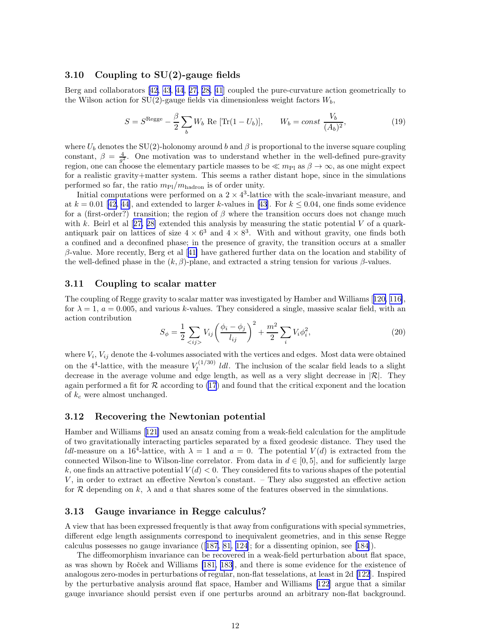# 3.10 Coupling to SU(2)-gauge fields

Berg and collaborators[[42,](#page-22-0) [43](#page-23-0), [44](#page-23-0), [27, 28,](#page-21-0) [41](#page-22-0)] coupled the pure-curvature action geometrically to the Wilson action for SU(2)-gauge fields via dimensionless weight factors  $W_b$ ,

$$
S = SRegge - \frac{\beta}{2} \sum_{b} W_b \text{ Re } [\text{Tr}(1 - U_b)], \qquad W_b = const \frac{V_b}{(A_b)^2}, \tag{19}
$$

where  $U_b$  denotes the SU(2)-holonomy around b and  $\beta$  is proportional to the inverse square coupling constant,  $\beta = \frac{4}{g^2}$ . One motivation was to understand whether in the well-defined pure-gravity region, one can choose the elementary particle masses to be  $\ll m_{\text{Pl}}$  as  $\beta \to \infty$ , as one might expect for a realistic gravity+matter system. This seems a rather distant hope, since in the simulations performed so far, the ratio  $m_{\rm Pl}/m_{\rm hadron}$  is of order unity.

Initial computations were performed on a  $2 \times 4^3$ -lattice with the scale-invariant measure, and at  $k = 0.01$  [\[42](#page-22-0), [44\]](#page-23-0), and extended to larger k-values in [\[43](#page-23-0)]. For  $k \le 0.04$ , one finds some evidence for a (first-order?) transition; the region of  $\beta$  where the transition occurs does not change much withk. Beirl et al  $[27, 28]$  $[27, 28]$  extended this analysis by measuring the static potential V of a quarkantiquark pair on lattices of size  $4 \times 6^3$  and  $4 \times 8^3$ . With and without gravity, one finds both a confined and a deconfined phase; in the presence of gravity, the transition occurs at a smaller β-value.More recently, Berg et al [[41\]](#page-22-0) have gathered further data on the location and stability of the well-defined phase in the  $(k, \beta)$ -plane, and extracted a string tension for various  $\beta$ -values.

# 3.11 Coupling to scalar matter

The coupling of Regge gravity to scalar matter was investigated by Hamber and Williams[[120, 116\]](#page-28-0), for  $\lambda = 1$ ,  $a = 0.005$ , and various k-values. They considered a single, massive scalar field, with an action contribution

$$
S_{\phi} = \frac{1}{2} \sum_{\langle ij \rangle} V_{ij} \left( \frac{\phi_i - \phi_j}{l_{ij}} \right)^2 + \frac{m^2}{2} \sum_i V_i \phi_i^2, \tag{20}
$$

where  $V_i$ ,  $V_{ij}$  denote the 4-volumes associated with the vertices and edges. Most data were obtained on the 4<sup>4</sup>-lattice, with the measure  $V_l^{(1/30)}$  $\ell_l^{(1/30)}$  *ldl*. The inclusion of the scalar field leads to a slight decrease in the average volume and edge length, as well as a very slight decrease in  $\mathcal{R}$ . They again performed a fit for  $R$  according to [\(17](#page-9-0)) and found that the critical exponent and the location of  $k_c$  were almost unchanged.

# 3.12 Recovering the Newtonian potential

Hamber and Williams[[121\]](#page-28-0) used an ansatz coming from a weak-field calculation for the amplitude of two gravitationally interacting particles separated by a fixed geodesic distance. They used the *ldl*-measure on a 16<sup>4</sup>-lattice, with  $\lambda = 1$  and  $a = 0$ . The potential  $V(d)$  is extracted from the connected Wilson-line to Wilson-line correlator. From data in  $d \in [0, 5]$ , and for sufficiently large k, one finds an attractive potential  $V(d) < 0$ . They considered fits to various shapes of the potential  $V$ , in order to extract an effective Newton's constant.  $-$  They also suggested an effective action for  $\mathcal R$  depending on k,  $\lambda$  and a that shares some of the features observed in the simulations.

### 3.13 Gauge invariance in Regge calculus?

A view that has been expressed frequently is that away from configurations with special symmetries, different edge length assignments correspond to inequivalent geometries, and in this sense Regge calculus possesses no gauge invariance ([[187,](#page-32-0) [81,](#page-25-0) [124\]](#page-28-0); for a dissenting opinion, see[[184\]](#page-32-0)).

The diffeomorphism invariance can be recovered in a weak-field perturbation about flat space, as was shown by Roček and Williams [\[181,](#page-31-0) [183\]](#page-32-0), and there is some evidence for the existence of analogous zero-modes in perturbations of regular, non-flat tesselations, at least in 2d [\[122](#page-28-0)]. Inspired by the perturbative analysis around flat space, Hamber and Williams[[122](#page-28-0)] argue that a similar gauge invariance should persist even if one perturbs around an arbitrary non-flat background.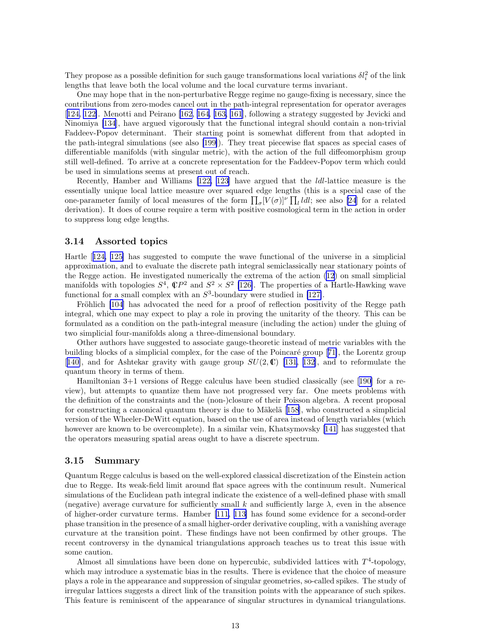They propose as a possible definition for such gauge transformations local variations  $\delta l_i^2$  of the link lengths that leave both the local volume and the local curvature terms invariant.

One may hope that in the non-perturbative Regge regime no gauge-fixing is necessary, since the contributions from zero-modes cancel out in the path-integral representation for operator averages [[124, 122\]](#page-28-0). Menotti and Peirano[[162,](#page-30-0) [164, 163,](#page-31-0) [161](#page-30-0)], following a strategy suggested by Jevicki and Ninomiya [\[134](#page-29-0)], have argued vigorously that the functional integral should contain a non-trivial Faddeev-Popov determinant. Their starting point is somewhat different from that adopted in the path-integral simulations (see also [\[199\]](#page-32-0)). They treat piecewise flat spaces as special cases of differentiable manifolds (with singular metric), with the action of the full diffeomorphism group still well-defined. To arrive at a concrete representation for the Faddeev-Popov term which could be used in simulations seems at present out of reach.

Recently, Hamber and Williams [\[122, 123\]](#page-28-0) have argued that the ldl-lattice measure is the essentially unique local lattice measure over squared edge lengths (this is a special case of the one-parameter family of local measures of the form  $\prod_{\sigma} [V(\sigma)]^{\nu} \prod_{l} l dl$ ; see also [\[24](#page-21-0)] for a related derivation). It does of course require a term with positive cosmological term in the action in order to suppress long edge lengths.

#### 3.14 Assorted topics

Hartle[[124, 125\]](#page-28-0) has suggested to compute the wave functional of the universe in a simplicial approximation, and to evaluate the discrete path integral semiclassically near stationary points of the Regge action. He investigated numerically the extrema of the action [\(12](#page-7-0)) on small simplicial manifolds with topologies  $S^4$ ,  $\mathbb{C}P^2$  and  $S^2 \times S^2$  [\[126\]](#page-28-0). The properties of a Hartle-Hawking wave functional for a small complex with an  $S^3$ -boundary were studied in [\[127\]](#page-28-0).

Fröhlich [\[104](#page-27-0)] has advocated the need for a proof of reflection positivity of the Regge path integral, which one may expect to play a role in proving the unitarity of the theory. This can be formulated as a condition on the path-integral measure (including the action) under the gluing of two simplicial four-manifolds along a three-dimensional boundary.

Other authors have suggested to associate gauge-theoretic instead of metric variables with the buildingblocks of a simplicial complex, for the case of the Poincaré group [[71\]](#page-24-0), the Lorentz group [[140\]](#page-29-0), and for Ashtekar gravity with gauge group  $SU(2,\mathbb{C})$  [\[131](#page-29-0), [132\]](#page-29-0), and to reformulate the quantum theory in terms of them.

Hamiltonian 3+1 versions of Regge calculus have been studied classically (see[[190\]](#page-32-0) for a review), but attempts to quantize them have not progressed very far. One meets problems with the definition of the constraints and the (non-)closure of their Poisson algebra. A recent proposal forconstructing a canonical quantum theory is due to Mäkelä [[158\]](#page-30-0), who constructed a simplicial version of the Wheeler-DeWitt equation, based on the use of area instead of length variables (which howeverare known to be overcomplete). In a similar vein, Khatsymovsky [[141\]](#page-29-0) has suggested that the operators measuring spatial areas ought to have a discrete spectrum.

#### 3.15 Summary

Quantum Regge calculus is based on the well-explored classical discretization of the Einstein action due to Regge. Its weak-field limit around flat space agrees with the continuum result. Numerical simulations of the Euclidean path integral indicate the existence of a well-defined phase with small (negative) average curvature for sufficiently small k and sufficiently large  $\lambda$ , even in the absence of higher-order curvature terms. Hamber[[111, 113\]](#page-27-0) has found some evidence for a second-order phase transition in the presence of a small higher-order derivative coupling, with a vanishing average curvature at the transition point. These findings have not been confirmed by other groups. The recent controversy in the dynamical triangulations approach teaches us to treat this issue with some caution.

Almost all simulations have been done on hypercubic, subdivided lattices with  $T<sup>4</sup>$ -topology, which may introduce a systematic bias in the results. There is evidence that the choice of measure plays a role in the appearance and suppression of singular geometries, so-called spikes. The study of irregular lattices suggests a direct link of the transition points with the appearance of such spikes. This feature is reminiscent of the appearance of singular structures in dynamical triangulations.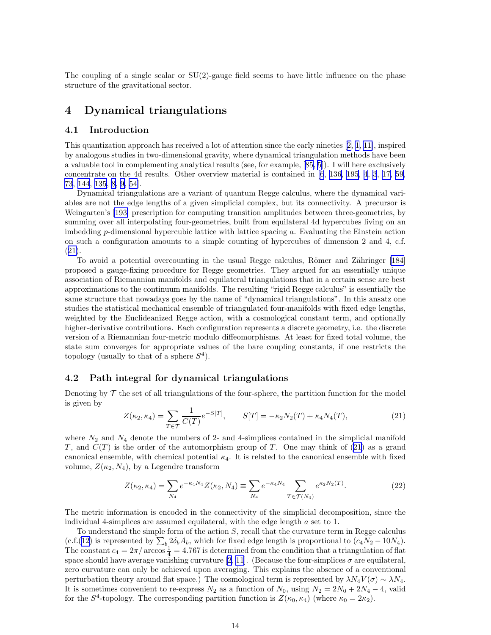<span id="page-13-0"></span>The coupling of a single scalar or  $SU(2)$ -gauge field seems to have little influence on the phase structure of the gravitational sector.

# 4 Dynamical triangulations

#### 4.1 Introduction

This quantization approach has received a lot of attention since the early nineties[[2, 1](#page-20-0), [11\]](#page-20-0), inspired by analogous studies in two-dimensional gravity, where dynamical triangulation methods have been a valuable tool in complementing analytical results (see, for example,[[85,](#page-25-0) [5](#page-20-0)]). I will here exclusively concentrate on the 4d results. Other overview material is contained in [\[6](#page-20-0), [136,](#page-29-0) [195](#page-32-0), [4, 3](#page-20-0), [17,](#page-21-0) [59](#page-24-0), [73,](#page-25-0) [144, 135,](#page-29-0) [8, 9](#page-20-0), [54](#page-23-0)].

Dynamical triangulations are a variant of quantum Regge calculus, where the dynamical variables are not the edge lengths of a given simplicial complex, but its connectivity. A precursor is Weingarten's [\[193\]](#page-32-0) prescription for computing transition amplitudes between three-geometries, by summing over all interpolating four-geometries, built from equilateral 4d hypercubes living on an imbedding p-dimensional hypercubic lattice with lattice spacing a. Evaluating the Einstein action on such a configuration amounts to a simple counting of hypercubes of dimension 2 and 4, c.f. (21).

To avoid a potential overcounting in the usual Regge calculus, Römer and Zähringer [\[184\]](#page-32-0) proposed a gauge-fixing procedure for Regge geometries. They argued for an essentially unique association of Riemannian manifolds and equilateral triangulations that in a certain sense are best approximations to the continuum manifolds. The resulting "rigid Regge calculus" is essentially the same structure that nowadays goes by the name of "dynamical triangulations". In this ansatz one studies the statistical mechanical ensemble of triangulated four-manifolds with fixed edge lengths, weighted by the Euclideanized Regge action, with a cosmological constant term, and optionally higher-derivative contributions. Each configuration represents a discrete geometry, i.e. the discrete version of a Riemannian four-metric modulo diffeomorphisms. At least for fixed total volume, the state sum converges for appropriate values of the bare coupling constants, if one restricts the topology (usually to that of a sphere  $S<sup>4</sup>$ ).

# 4.2 Path integral for dynamical triangulations

Denoting by  $\mathcal T$  the set of all triangulations of the four-sphere, the partition function for the model is given by

$$
Z(\kappa_2, \kappa_4) = \sum_{T \in \mathcal{T}} \frac{1}{C(T)} e^{-S[T]}, \qquad S[T] = -\kappa_2 N_2(T) + \kappa_4 N_4(T), \tag{21}
$$

where  $N_2$  and  $N_4$  denote the numbers of 2- and 4-simplices contained in the simplicial manifold T, and  $C(T)$  is the order of the automorphism group of T. One may think of (21) as a grand canonical ensemble, with chemical potential  $\kappa_4$ . It is related to the canonical ensemble with fixed volume,  $Z(\kappa_2, N_4)$ , by a Legendre transform

$$
Z(\kappa_2, \kappa_4) = \sum_{N_4} e^{-\kappa_4 N_4} Z(\kappa_2, N_4) \equiv \sum_{N_4} e^{-\kappa_4 N_4} \sum_{T \in \mathcal{T}(N_4)} e^{\kappa_2 N_2(T)}.
$$
 (22)

The metric information is encoded in the connectivity of the simplicial decomposition, since the individual 4-simplices are assumed equilateral, with the edge length a set to 1.

To understand the simple form of the action  $S$ , recall that the curvature term in Regge calculus (c.f.([12\)](#page-7-0) is represented by  $\sum_b 2\delta_b A_b$ , which for fixed edge length is proportional to  $(c_4N_2-10N_4)$ . The constant  $c_4 = 2\pi / \arccos \frac{1}{4} = 4.767$  is determined from the condition that a triangulation of flat space should have average vanishing curvature [\[2](#page-20-0), [11](#page-20-0)]. (Because the four-simplices  $\sigma$  are equilateral, zero curvature can only be achieved upon averaging. This explains the absence of a conventional perturbation theory around flat space.) The cosmological term is represented by  $\lambda N_4 V(\sigma) \sim \lambda N_4$ . It is sometimes convenient to re-express  $N_2$  as a function of  $N_0$ , using  $N_2 = 2N_0 + 2N_4 - 4$ , valid for the  $S^4$ -topology. The corresponding partition function is  $Z(\kappa_0, \kappa_4)$  (where  $\kappa_0 = 2\kappa_2$ ).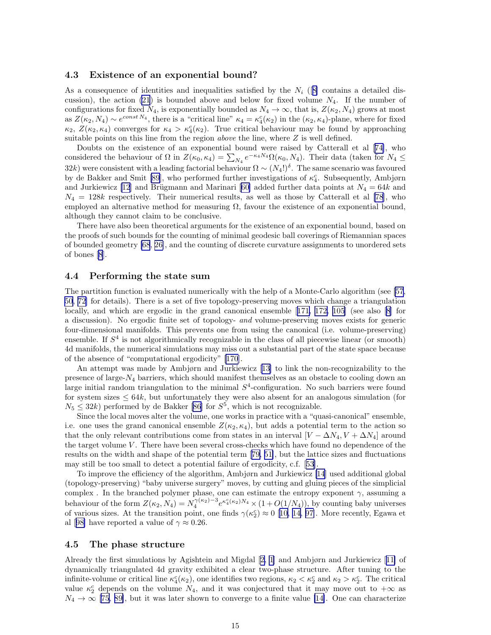### 4.3 Existence of an exponential bound?

As a consequence of identities and inequalities satisfied by the  $N_i$  ([[8\]](#page-20-0) contains a detailed dis-cussion), the action [\(21](#page-13-0)) is bounded above and below for fixed volume  $N_4$ . If the number of configurations for fixed  $N_4$ , is exponentially bounded as  $N_4 \to \infty$ , that is,  $Z(\kappa_2, N_4)$  grows at most as  $Z(\kappa_2, N_4) \sim e^{\text{const } N_4}$ , there is a "critical line"  $\kappa_4 = \kappa_4^c(\kappa_2)$  in the  $(\kappa_2, \kappa_4)$ -plane, where for fixed  $\kappa_2$ ,  $Z(\kappa_2, \kappa_4)$  converges for  $\kappa_4 > \kappa_4^c(\kappa_2)$ . True critical behaviour may be found by approaching suitable points on this line from the region *above* the line, where Z is well defined.

Doubts on the existence of an exponential bound were raised by Catterall et al[[74\]](#page-25-0), who considered the behaviour of  $\Omega$  in  $Z(\kappa_0, \kappa_4) = \sum_{N_4} e^{-\kappa_4 N_4} \Omega(\kappa_0, N_4)$ . Their data (taken for  $N_4 \leq$ 32k) were consistent with a leading factorial behaviour  $\Omega \sim (N_4!)^{\delta}$ . The same scenario was favoured by de Bakker and Smit [\[89](#page-26-0)], who performed further investigations of  $\kappa_4^c$ . Subsequently, Ambjørn and Jurkiewicz [\[12](#page-20-0)]and Brügmann and Marinari [[60\]](#page-24-0) added further data points at  $N_4 = 64k$  and  $N_4 = 128k$  respectively. Their numerical results, as well as those by Catterall et al [\[78](#page-25-0)], who employed an alternative method for measuring  $\Omega$ , favour the existence of an exponential bound, although they cannot claim to be conclusive.

There have also been theoretical arguments for the existence of an exponential bound, based on the proofs of such bounds for the counting of minimal geodesic ball coverings of Riemannian spaces of bounded geometry [\[68](#page-24-0), [26\]](#page-21-0), and the counting of discrete curvature assignments to unordered sets of bones [\[8](#page-20-0)].

#### 4.4 Performing the state sum

The partition function is evaluated numerically with the help of a Monte-Carlo algorithm (see [\[57](#page-24-0), [50,](#page-23-0) [72](#page-24-0)] for details). There is a set of five topology-preserving moves which change a triangulation locally, and which are ergodic in the grand canonical ensemble[[171, 172,](#page-31-0) [105\]](#page-27-0) (see also [\[8\]](#page-20-0) for a discussion). No ergodic finite set of topology- *and* volume-preserving moves exists for generic four-dimensional manifolds. This prevents one from using the canonical (i.e. volume-preserving) ensemble. If  $S<sup>4</sup>$  is not algorithmically recognizable in the class of all piecewise linear (or smooth) 4d manifolds, the numerical simulations may miss out a substantial part of the state space because of the absence of "computational ergodicity" [\[170](#page-31-0)].

An attempt was made by Ambjørn and Jurkiewicz[[13\]](#page-20-0) to link the non-recognizability to the presence of large-N<sup>4</sup> barriers, which should manifest themselves as an obstacle to cooling down an large initial random triangulation to the minimal  $S<sup>4</sup>$ -configuration. No such barriers were found for system sizes  $\leq 64k$ , but unfortunately they were also absent for an analogous simulation (for  $N_5 \leq 32k$  $N_5 \leq 32k$  $N_5 \leq 32k$ ) performed by de Bakker [[86\]](#page-26-0) for  $S^5$ , which is not recognizable.

Since the local moves alter the volume, one works in practice with a "quasi-canonical" ensemble, i.e. one uses the grand canonical ensemble  $Z(\kappa_2, \kappa_4)$ , but adds a potential term to the action so that the only relevant contributions come from states in an interval  $[V - \Delta N_4, V + \Delta N_4]$  around the target volume  $V$ . There have been several cross-checks which have found no dependence of the results on the width and shape of the potential term[[79,](#page-25-0) [51\]](#page-23-0), but the lattice sizes and fluctuations may still be too small to detect a potential failure of ergodicity, c.f. [[53\]](#page-23-0).

To improve the efficiency of the algorithm, Ambjørn and Jurkiewicz [\[14](#page-20-0)] used additional global (topology-preserving) "baby universe surgery" moves, by cutting and gluing pieces of the simplicial complex . In the branched polymer phase, one can estimate the entropy exponent  $\gamma$ , assuming a behaviour of the form  $Z(\kappa_2, N_4) = N_4^{\gamma(\kappa_2)-3} e^{\kappa_4^c(\kappa_2)N_4} \times (1+O(1/N_4))$ , by counting baby universes ofvarious sizes. At the transition point, one finds  $\gamma(\kappa_2^c) \approx 0$  [[10, 14,](#page-20-0) [97\]](#page-26-0). More recently, Egawa et al[[98\]](#page-26-0) have reported a value of  $\gamma \approx 0.26$ .

# 4.5 The phase structure

Already the first simulations by Agishtein and Migdal[[2, 1](#page-20-0)] and Ambjørn and Jurkiewicz[[11\]](#page-20-0) of dynamically triangulated 4d gravity exhibited a clear two-phase structure. After tuning to the infinite-volume or critical line  $\kappa_4^c(\kappa_2)$ , one identifies two regions,  $\kappa_2 < \kappa_2^c$  and  $\kappa_2 > \kappa_2^c$ . The critical value  $\kappa_2^c$  depends on the volume  $N_4$ , and it was conjectured that it may move out to  $+\infty$  as  $N_4 \rightarrow \infty$  [\[75](#page-25-0), [89\]](#page-26-0), but it was later shown to converge to a finite value [\[14\]](#page-20-0). One can characterize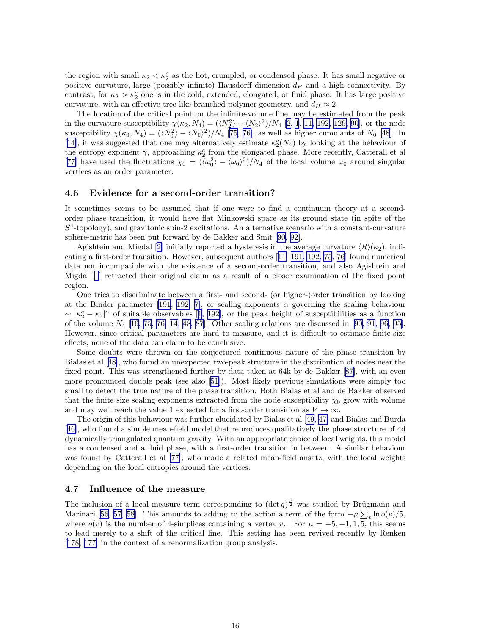the region with small  $\kappa_2 < \kappa_2^c$  as the hot, crumpled, or condensed phase. It has small negative or positive curvature, large (possibly infinite) Hausdorff dimension  $d_H$  and a high connectivity. By contrast, for  $\kappa_2 > \kappa_2^c$  one is in the cold, extended, elongated, or fluid phase. It has large positive curvature, with an effective tree-like branched-polymer geometry, and  $d_H\approx 2.$ 

The location of the critical point on the infinite-volume line may be estimated from the peak in the curvature susceptibility  $\chi(\kappa_2, N_4) = (\langle N_2^2 \rangle - \langle N_2 \rangle^2)/N_4$  [\[2, 1](#page-20-0), [11,](#page-20-0) [192,](#page-32-0) [129,](#page-28-0) [90](#page-26-0)], or the node susceptibility  $\chi(\kappa_0, N_4) = (\langle N_0^2 \rangle - \langle N_0 \rangle^2)/N_4$  [\[75](#page-25-0), [76\]](#page-25-0), as well as higher cumulants of  $N_0$  [\[48](#page-23-0)]. In [[14\]](#page-20-0), it was suggested that one may alternatively estimate  $\kappa_2^c(N_4)$  by looking at the behaviour of the entropy exponent  $\gamma$ , approaching  $\kappa_2^c$  from the elongated phase. More recently, Catterall et al [[77\]](#page-25-0) have used the fluctuations  $\chi_0 = (\langle \omega_0^2 \rangle - \langle \omega_0 \rangle^2)/N_4$  of the local volume  $\omega_0$  around singular vertices as an order parameter.

### 4.6 Evidence for a second-order transition?

It sometimes seems to be assumed that if one were to find a continuum theory at a secondorder phase transition, it would have flat Minkowski space as its ground state (in spite of the  $S<sup>4</sup>$ -topology), and gravitonic spin-2 excitations. An alternative scenario with a constant-curvature sphere-metric has been put forward by de Bakker and Smit [\[90](#page-26-0), [92](#page-26-0)].

Agishteinand Migdal [[2\]](#page-20-0) initially reported a hysteresis in the average curvature  $\langle R \rangle (\kappa_2)$ , indicating a first-order transition. However, subsequent authors[[11,](#page-20-0) [191, 192,](#page-32-0) [75](#page-25-0), [76](#page-25-0)] found numerical data not incompatible with the existence of a second-order transition, and also Agishtein and Migdal [\[1](#page-20-0)] retracted their original claim as a result of a closer examination of the fixed point region.

One tries to discriminate between a first- and second- (or higher-)order transition by looking at the Binder parameter [\[191](#page-32-0), [192,](#page-32-0) [7\]](#page-20-0), or scaling exponents  $\alpha$  governing the scaling behaviour  $\sim |\kappa_2^c - \kappa_2|^\alpha$  $\sim |\kappa_2^c - \kappa_2|^\alpha$  $\sim |\kappa_2^c - \kappa_2|^\alpha$  of suitable observables [[1,](#page-20-0) [192\]](#page-32-0), or the peak height of susceptibilities as a function ofthe volume  $N_4$  [[16,](#page-21-0) [75](#page-25-0), [76,](#page-25-0) [14,](#page-20-0) [48,](#page-23-0) [87](#page-26-0)]. Other scaling relations are discussed in [[90, 91](#page-26-0), [96](#page-26-0), [95\]](#page-26-0). However, since critical parameters are hard to measure, and it is difficult to estimate finite-size effects, none of the data can claim to be conclusive.

Some doubts were thrown on the conjectured continuous nature of the phase transition by Bialas et al[[48\]](#page-23-0), who found an unexpected two-peak structure in the distribution of nodes near the fixed point. This was strengthened further by data taken at 64k by de Bakker[[87\]](#page-26-0), with an even more pronounced double peak (see also[[51\]](#page-23-0)). Most likely previous simulations were simply too small to detect the true nature of the phase transition. Both Bialas et al and de Bakker observed that the finite size scaling exponents extracted from the node susceptibility  $\chi_0$  grow with volume and may well reach the value 1 expected for a first-order transition as  $V \to \infty$ .

The origin of this behaviour was further elucidated by Bialas et al [\[49](#page-23-0), [47\]](#page-23-0) and Bialas and Burda [[46\]](#page-23-0), who found a simple mean-field model that reproduces qualitatively the phase structure of 4d dynamically triangulated quantum gravity. With an appropriate choice of local weights, this model has a condensed and a fluid phase, with a first-order transition in between. A similar behaviour was found by Catterall et al [\[77\]](#page-25-0), who made a related mean-field ansatz, with the local weights depending on the local entropies around the vertices.

# 4.7 Influence of the measure

The inclusion of a local measure term corresponding to  $(\det g)^{\frac{\mu}{2}}$  was studied by Brügmann and Marinari [\[56](#page-23-0), [57, 58\]](#page-24-0). This amounts to adding to the action a term of the form  $-\mu \sum_{v} \ln o(v)/5$ , where  $o(v)$  is the number of 4-simplices containing a vertex v. For  $\mu = -5, -1, 1, 5$ , this seems to lead merely to a shift of the critical line. This setting has been revived recently by Renken [[178, 177\]](#page-31-0) in the context of a renormalization group analysis.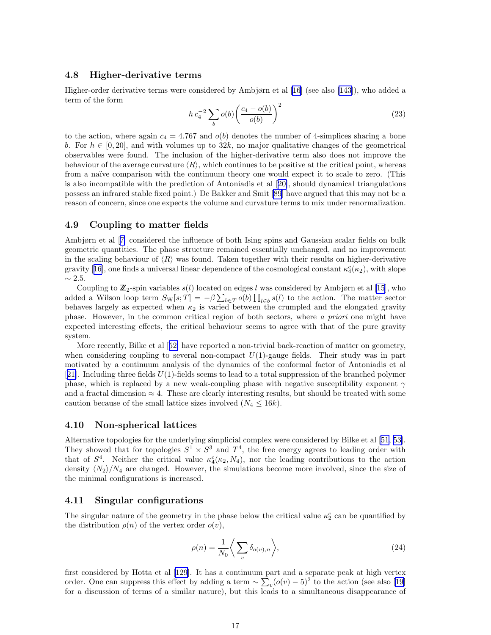#### 4.8 Higher-derivative terms

Higher-order derivative terms were considered by Ambjørn et al [\[16](#page-21-0)] (see also [\[143\]](#page-29-0)), who added a term of the form

$$
h c_4^{-2} \sum_b o(b) \left(\frac{c_4 - o(b)}{o(b)}\right)^2 \tag{23}
$$

to the action, where again  $c_4 = 4.767$  and  $o(b)$  denotes the number of 4-simplices sharing a bone b. For  $h \in [0, 20]$ , and with volumes up to  $32k$ , no major qualitative changes of the geometrical observables were found. The inclusion of the higher-derivative term also does not improve the behaviour of the average curvature  $\langle R \rangle$ , which continues to be positive at the critical point, whereas from a naïve comparison with the continuum theory one would expect it to scale to zero. (This is also incompatible with the prediction of Antoniadis et al[[20\]](#page-21-0), should dynamical triangulations possess an infrared stable fixed point.) De Bakker and Smit [\[89](#page-26-0)] have argued that this may not be a reason of concern, since one expects the volume and curvature terms to mix under renormalization.

# 4.9 Coupling to matter fields

Ambjørn et al[[7\]](#page-20-0) considered the influence of both Ising spins and Gaussian scalar fields on bulk geometric quantities. The phase structure remained essentially unchanged, and no improvement in the scaling behaviour of  $\langle R \rangle$  was found. Taken together with their results on higher-derivative gravity[[16\]](#page-21-0), one finds a universal linear dependence of the cosmological constant  $\kappa_4^c(\kappa_2)$ , with slope  $~\sim 2.5.$ 

Coupling to  $\mathbb{Z}_2$ -spin variables  $s(l)$  located on edges l was considered by Ambjørn et al [\[15\]](#page-21-0), who added a Wilson loop term  $S_{\mathcal{W}}[s;T] = -\beta \sum_{b \in T} o(b) \prod_{l \in b} s(l)$  to the action. The matter sector behaves largely as expected when  $\kappa_2$  is varied between the crumpled and the elongated gravity phase. However, in the common critical region of both sectors, where *a priori* one might have expected interesting effects, the critical behaviour seems to agree with that of the pure gravity system.

More recently, Bilke et al[[52\]](#page-23-0) have reported a non-trivial back-reaction of matter on geometry, when considering coupling to several non-compact  $U(1)$ -gauge fields. Their study was in part motivated by a continuum analysis of the dynamics of the conformal factor of Antoniadis et al [[21\]](#page-21-0). Including three fields  $U(1)$ -fields seems to lead to a total suppression of the branched polymer phase, which is replaced by a new weak-coupling phase with negative susceptibility exponent  $\gamma$ and a fractal dimension  $\approx 4$ . These are clearly interesting results, but should be treated with some caution because of the small lattice sizes involved  $(N_4 \leq 16k)$ .

#### 4.10 Non-spherical lattices

Alternative topologies for the underlying simplicial complex were considered by Bilke et al [\[51](#page-23-0), [53\]](#page-23-0). They showed that for topologies  $S^1 \times S^3$  and  $T^4$ , the free energy agrees to leading order with that of  $S^4$ . Neither the critical value  $\kappa_4^c(\kappa_2, N_4)$ , nor the leading contributions to the action density  $\langle N_2 \rangle/N_4$  are changed. However, the simulations become more involved, since the size of the minimal configurations is increased.

# 4.11 Singular configurations

The singular nature of the geometry in the phase below the critical value  $\kappa_2^c$  can be quantified by the distribution  $\rho(n)$  of the vertex order  $o(v)$ ,

$$
\rho(n) = \frac{1}{N_0} \left\langle \sum_{v} \delta_{o(v),n} \right\rangle,\tag{24}
$$

first considered by Hotta et al[[129\]](#page-28-0). It has a continuum part and a separate peak at high vertex order. One can suppress this effect by adding a term  $\sim \sum_{v} (o(v) - 5)^2$  to the action (see also [\[19](#page-21-0)] for a discussion of terms of a similar nature), but this leads to a simultaneous disappearance of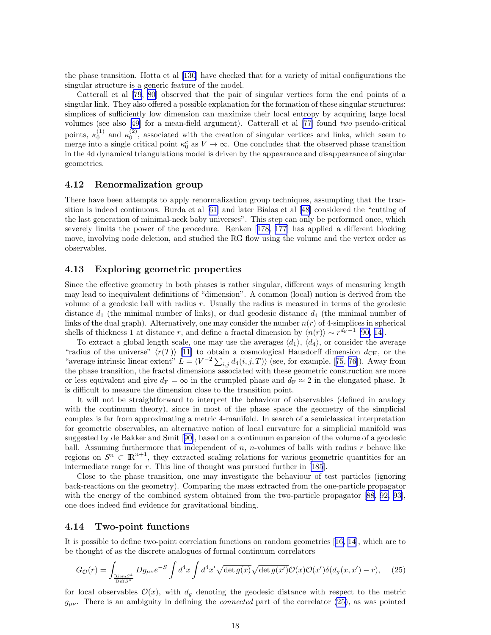the phase transition. Hotta et al [\[130](#page-28-0)] have checked that for a variety of initial configurations the singular structure is a generic feature of the model.

Catterall et al[[79, 80\]](#page-25-0) observed that the pair of singular vertices form the end points of a singular link. They also offered a possible explanation for the formation of these singular structures: simplices of sufficiently low dimension can maximize their local entropy by acquiring large local volumes (see also[[49\]](#page-23-0) for a mean-field argument). Catterall et al [\[77\]](#page-25-0) found *two* pseudo-critical points,  $\kappa_0^{(1)}$  and  $\kappa_0^{(2)}$ , associated with the creation of singular vertices and links, which seem to merge into a single critical point  $\kappa_0^c$  as  $V \to \infty$ . One concludes that the observed phase transition in the 4d dynamical triangulations model is driven by the appearance and disappearance of singular geometries.

# 4.12 Renormalization group

There have been attempts to apply renormalization group techniques, assumpting that the transition is indeed continuous. Burda et al[[61\]](#page-24-0) and later Bialas et al[[48\]](#page-23-0) considered the "cutting of the last generation of minimal-neck baby universes". This step can only be performed once, which severely limits the power of the procedure. Renken[[178, 177\]](#page-31-0) has applied a different blocking move, involving node deletion, and studied the RG flow using the volume and the vertex order as observables.

# 4.13 Exploring geometric properties

Since the effective geometry in both phases is rather singular, different ways of measuring length may lead to inequivalent definitions of "dimension". A common (local) notion is derived from the volume of a geodesic ball with radius  $r$ . Usually the radius is measured in terms of the geodesic distance  $d_1$  (the minimal number of links), or dual geodesic distance  $d_4$  (the minimal number of links of the dual graph). Alternatively, one may consider the number  $n(r)$  of 4-simplices in spherical shells of thickness 1 at distance r, and define a fractal dimension by  $\langle n(r) \rangle \sim r^{d_F - 1}$  [\[90,](#page-26-0) [14\]](#page-20-0).

To extract a global length scale, one may use the averages  $\langle d_1 \rangle$ ,  $\langle d_4 \rangle$ , or consider the average "radius of the universe"  $\langle r(T) \rangle$  [[11\]](#page-20-0) to obtain a cosmological Hausdorff dimension  $d_{\text{CH}}$ , or the "averageintrinsic linear extent"  $L = \langle V^{-2} \sum_{i,j} d_4(i,j,T) \rangle$  (see, for example, [[75, 76\]](#page-25-0)). Away from the phase transition, the fractal dimensions associated with these geometric construction are more or less equivalent and give  $d_F = \infty$  in the crumpled phase and  $d_F \approx 2$  in the elongated phase. It is difficult to measure the dimension close to the transition point.

It will not be straightforward to interpret the behaviour of observables (defined in analogy with the continuum theory), since in most of the phase space the geometry of the simplicial complex is far from approximating a metric 4-manifold. In search of a semiclassical interpretation for geometric observables, an alternative notion of local curvature for a simplicial manifold was suggested by de Bakker and Smit[[90\]](#page-26-0), based on a continuum expansion of the volume of a geodesic ball. Assuming furthermore that independent of  $n$ , *n*-volumes of balls with radius r behave like regions on  $S^n \subset \mathbb{R}^{n+1}$ , they extracted scaling relations for various geometric quantities for an intermediate range for r. This line of thought was pursued further in [\[185](#page-32-0)].

Close to the phase transition, one may investigate the behaviour of test particles (ignoring back-reactions on the geometry). Comparing the mass extracted from the one-particle propagator with the energy of the combined system obtained from the two-particle propagator [\[88](#page-26-0), [92, 93\]](#page-26-0). one does indeed find evidence for gravitational binding.

#### 4.14 Two-point functions

It is possible to define two-point correlation functions on random geometries[[16](#page-21-0), [14\]](#page-20-0), which are to be thought of as the discrete analogues of formal continuum correlators

$$
G_{\mathcal{O}}(r) = \int_{\frac{\text{Riem}\mathcal{S}^4}{\text{Diff}\mathcal{S}^4}} Dg_{\mu\nu} e^{-S} \int d^4x \int d^4x' \sqrt{\det g(x)} \sqrt{\det g(x')} \mathcal{O}(x) \mathcal{O}(x') \delta(d_g(x, x') - r), \quad (25)
$$

for local observables  $\mathcal{O}(x)$ , with  $d_q$  denoting the geodesic distance with respect to the metric  $g_{\mu\nu}$ . There is an ambiguity in defining the *connected* part of the correlator (25), as was pointed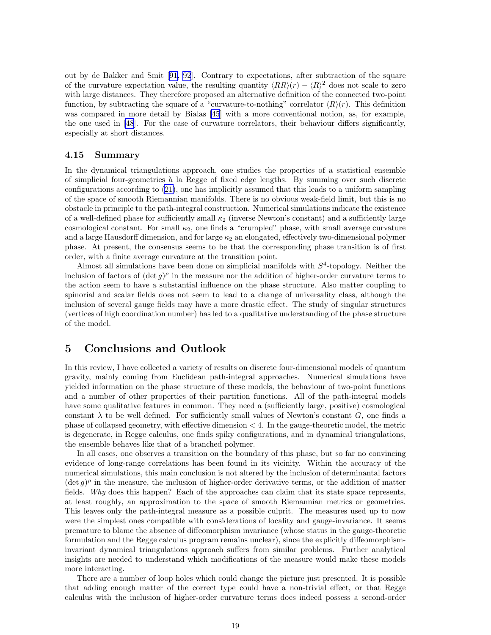out by de Bakker and Smit [\[91](#page-26-0), [92](#page-26-0)]. Contrary to expectations, after subtraction of the square of the curvature expectation value, the resulting quantity  $\langle RR \rangle(r) - \langle R \rangle^2$  does not scale to zero with large distances. They therefore proposed an alternative definition of the connected two-point function, by subtracting the square of a "curvature-to-nothing" correlator  $\langle R \rangle(r)$ . This definition was compared in more detail by Bialas [\[45](#page-23-0)] with a more conventional notion, as, for example, the one used in [\[48](#page-23-0)]. For the case of curvature correlators, their behaviour differs significantly, especially at short distances.

# 4.15 Summary

In the dynamical triangulations approach, one studies the properties of a statistical ensemble of simplicial four-geometries `a la Regge of fixed edge lengths. By summing over such discrete configurations according to [\(21\)](#page-13-0), one has implicitly assumed that this leads to a uniform sampling of the space of smooth Riemannian manifolds. There is no obvious weak-field limit, but this is no obstacle in principle to the path-integral construction. Numerical simulations indicate the existence of a well-defined phase for sufficiently small  $\kappa_2$  (inverse Newton's constant) and a sufficiently large cosmological constant. For small  $\kappa_2$ , one finds a "crumpled" phase, with small average curvature and a large Hausdorff dimension, and for large  $\kappa_2$  an elongated, effectively two-dimensional polymer phase. At present, the consensus seems to be that the corresponding phase transition is of first order, with a finite average curvature at the transition point.

Almost all simulations have been done on simplicial manifolds with  $S<sup>4</sup>$ -topology. Neither the inclusion of factors of  $(\det g)^{\rho}$  in the measure nor the addition of higher-order curvature terms to the action seem to have a substantial influence on the phase structure. Also matter coupling to spinorial and scalar fields does not seem to lead to a change of universality class, although the inclusion of several gauge fields may have a more drastic effect. The study of singular structures (vertices of high coordination number) has led to a qualitative understanding of the phase structure of the model.

# 5 Conclusions and Outlook

In this review, I have collected a variety of results on discrete four-dimensional models of quantum gravity, mainly coming from Euclidean path-integral approaches. Numerical simulations have yielded information on the phase structure of these models, the behaviour of two-point functions and a number of other properties of their partition functions. All of the path-integral models have some qualitative features in common. They need a (sufficiently large, positive) cosmological constant  $\lambda$  to be well defined. For sufficiently small values of Newton's constant  $G$ , one finds a phase of collapsed geometry, with effective dimension  $\leq 4$ . In the gauge-theoretic model, the metric is degenerate, in Regge calculus, one finds spiky configurations, and in dynamical triangulations, the ensemble behaves like that of a branched polymer.

In all cases, one observes a transition on the boundary of this phase, but so far no convincing evidence of long-range correlations has been found in its vicinity. Within the accuracy of the numerical simulations, this main conclusion is not altered by the inclusion of determinantal factors  $(\det g)^{\rho}$  in the measure, the inclusion of higher-order derivative terms, or the addition of matter fields. *Why* does this happen? Each of the approaches can claim that its state space represents, at least roughly, an approximation to the space of smooth Riemannian metrics or geometries. This leaves only the path-integral measure as a possible culprit. The measures used up to now were the simplest ones compatible with considerations of locality and gauge-invariance. It seems premature to blame the absence of diffeomorphism invariance (whose status in the gauge-theoretic formulation and the Regge calculus program remains unclear), since the explicitly diffeomorphisminvariant dynamical triangulations approach suffers from similar problems. Further analytical insights are needed to understand which modifications of the measure would make these models more interacting.

There are a number of loop holes which could change the picture just presented. It is possible that adding enough matter of the correct type could have a non-trivial effect, or that Regge calculus with the inclusion of higher-order curvature terms does indeed possess a second-order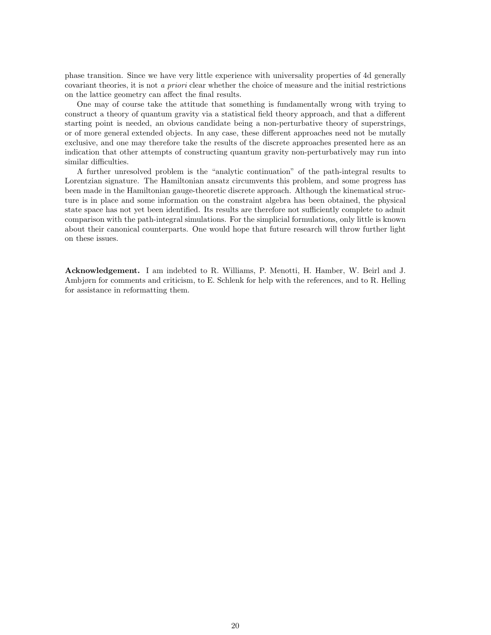phase transition. Since we have very little experience with universality properties of 4d generally covariant theories, it is not *a priori* clear whether the choice of measure and the initial restrictions on the lattice geometry can affect the final results.

One may of course take the attitude that something is fundamentally wrong with trying to construct a theory of quantum gravity via a statistical field theory approach, and that a different starting point is needed, an obvious candidate being a non-perturbative theory of superstrings, or of more general extended objects. In any case, these different approaches need not be mutally exclusive, and one may therefore take the results of the discrete approaches presented here as an indication that other attempts of constructing quantum gravity non-perturbatively may run into similar difficulties.

A further unresolved problem is the "analytic continuation" of the path-integral results to Lorentzian signature. The Hamiltonian ansatz circumvents this problem, and some progress has been made in the Hamiltonian gauge-theoretic discrete approach. Although the kinematical structure is in place and some information on the constraint algebra has been obtained, the physical state space has not yet been identified. Its results are therefore not sufficiently complete to admit comparison with the path-integral simulations. For the simplicial formulations, only little is known about their canonical counterparts. One would hope that future research will throw further light on these issues.

Acknowledgement. I am indebted to R. Williams, P. Menotti, H. Hamber, W. Beirl and J. Ambjørn for comments and criticism, to E. Schlenk for help with the references, and to R. Helling for assistance in reformatting them.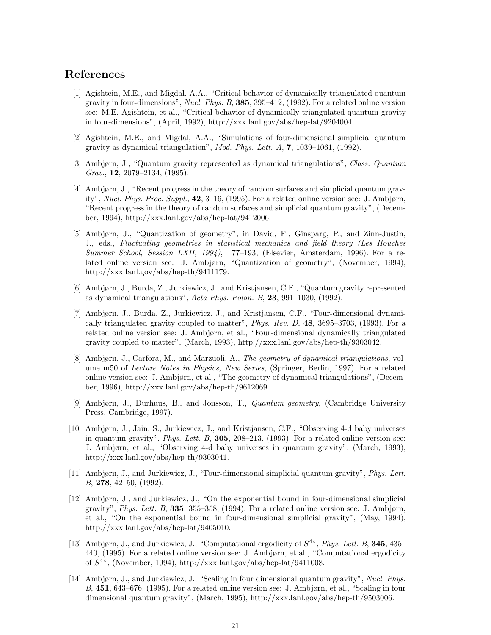# <span id="page-20-0"></span>References

- [1] Agishtein, M.E., and Migdal, A.A., "Critical behavior of dynamically triangulated quantum gravity in four-dimensions", *Nucl. Phys. B*, 385, 395–412, (1992). For a related online version see: M.E. Agishtein, et al., "Critical behavior of dynamically triangulated quantum gravity in four-dimensions", (April, 1992), http://xxx.lanl.gov/abs/hep-lat/9204004.
- [2] Agishtein, M.E., and Migdal, A.A., "Simulations of four-dimensional simplicial quantum gravity as dynamical triangulation", *Mod. Phys. Lett. A*, 7, 1039–1061, (1992).
- [3] Ambjørn, J., "Quantum gravity represented as dynamical triangulations", *Class. Quantum Grav.*, 12, 2079–2134, (1995).
- [4] Ambjørn, J., "Recent progress in the theory of random surfaces and simplicial quantum gravity", *Nucl. Phys. Proc. Suppl.*, 42, 3–16, (1995). For a related online version see: J. Ambjørn, "Recent progress in the theory of random surfaces and simplicial quantum gravity", (December, 1994), http://xxx.lanl.gov/abs/hep-lat/9412006.
- [5] Ambjørn, J., "Quantization of geometry", in David, F., Ginsparg, P., and Zinn-Justin, J., eds., *Fluctuating geometries in statistical mechanics and field theory (Les Houches Summer School, Session LXII, 1994)*, 77–193, (Elsevier, Amsterdam, 1996). For a related online version see: J. Ambjørn, "Quantization of geometry", (November, 1994), http://xxx.lanl.gov/abs/hep-th/9411179.
- [6] Ambjørn, J., Burda, Z., Jurkiewicz, J., and Kristjansen, C.F., "Quantum gravity represented as dynamical triangulations", *Acta Phys. Polon. B*, 23, 991–1030, (1992).
- [7] Ambjørn, J., Burda, Z., Jurkiewicz, J., and Kristjansen, C.F., "Four-dimensional dynamically triangulated gravity coupled to matter", *Phys. Rev. D*, 48, 3695–3703, (1993). For a related online version see: J. Ambjørn, et al., "Four-dimensional dynamically triangulated gravity coupled to matter", (March, 1993), http://xxx.lanl.gov/abs/hep-th/9303042.
- [8] Ambjørn, J., Carfora, M., and Marzuoli, A., *The geometry of dynamical triangulations*, volume m50 of *Lecture Notes in Physics, New Series*, (Springer, Berlin, 1997). For a related online version see: J. Ambjørn, et al., "The geometry of dynamical triangulations", (December, 1996), http://xxx.lanl.gov/abs/hep-th/9612069.
- [9] Ambjørn, J., Durhuus, B., and Jonsson, T., *Quantum geometry*, (Cambridge University Press, Cambridge, 1997).
- [10] Ambjørn, J., Jain, S., Jurkiewicz, J., and Kristjansen, C.F., "Observing 4-d baby universes in quantum gravity", *Phys. Lett. B*, 305, 208–213, (1993). For a related online version see: J. Ambjørn, et al., "Observing 4-d baby universes in quantum gravity", (March, 1993), http://xxx.lanl.gov/abs/hep-th/9303041.
- [11] Ambjørn, J., and Jurkiewicz, J., "Four-dimensional simplicial quantum gravity", *Phys. Lett. B*, 278, 42–50, (1992).
- [12] Ambjørn, J., and Jurkiewicz, J., "On the exponential bound in four-dimensional simplicial gravity", *Phys. Lett. B*, 335, 355–358, (1994). For a related online version see: J. Ambjørn, et al., "On the exponential bound in four-dimensional simplicial gravity", (May, 1994), http://xxx.lanl.gov/abs/hep-lat/9405010.
- [13] Ambjørn, J., and Jurkiewicz, J., "Computational ergodicity of  $S^{4}$ ", *Phys. Lett. B*, **345**, 435– 440, (1995). For a related online version see: J. Ambjørn, et al., "Computational ergodicity of S <sup>4</sup>", (November, 1994), http://xxx.lanl.gov/abs/hep-lat/9411008.
- [14] Ambjørn, J., and Jurkiewicz, J., "Scaling in four dimensional quantum gravity", *Nucl. Phys. B*, 451, 643–676, (1995). For a related online version see: J. Ambjørn, et al., "Scaling in four dimensional quantum gravity", (March, 1995), http://xxx.lanl.gov/abs/hep-th/9503006.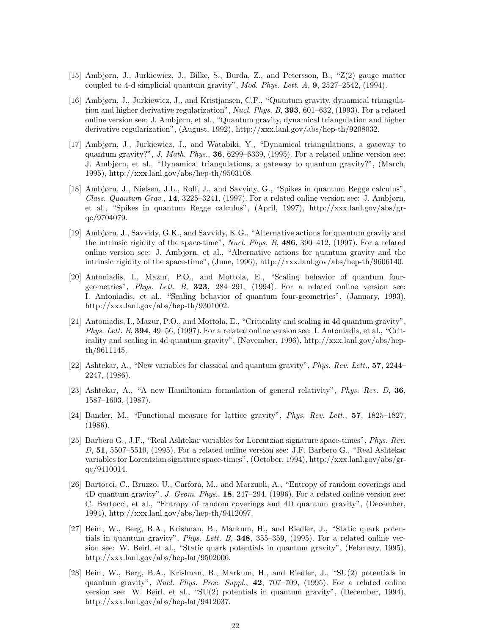- <span id="page-21-0"></span>[15] Ambjørn, J., Jurkiewicz, J., Bilke, S., Burda, Z., and Petersson, B., "Z(2) gauge matter coupled to 4-d simplicial quantum gravity", *Mod. Phys. Lett. A*, 9, 2527–2542, (1994).
- [16] Ambjørn, J., Jurkiewicz, J., and Kristjansen, C.F., "Quantum gravity, dynamical triangulation and higher derivative regularization", *Nucl. Phys. B*, 393, 601–632, (1993). For a related online version see: J. Ambjørn, et al., "Quantum gravity, dynamical triangulation and higher derivative regularization", (August, 1992), http://xxx.lanl.gov/abs/hep-th/9208032.
- [17] Ambjørn, J., Jurkiewicz, J., and Watabiki, Y., "Dynamical triangulations, a gateway to quantum gravity?", *J. Math. Phys.*, 36, 6299–6339, (1995). For a related online version see: J. Ambjørn, et al., "Dynamical triangulations, a gateway to quantum gravity?", (March, 1995), http://xxx.lanl.gov/abs/hep-th/9503108.
- [18] Ambjørn, J., Nielsen, J.L., Rolf, J., and Savvidy, G., "Spikes in quantum Regge calculus", *Class. Quantum Grav.*, 14, 3225–3241, (1997). For a related online version see: J. Ambjørn, et al., "Spikes in quantum Regge calculus", (April, 1997), http://xxx.lanl.gov/abs/grqc/9704079.
- [19] Ambjørn, J., Savvidy, G.K., and Savvidy, K.G., "Alternative actions for quantum gravity and the intrinsic rigidity of the space-time", *Nucl. Phys. B*, 486, 390–412, (1997). For a related online version see: J. Ambjørn, et al., "Alternative actions for quantum gravity and the intrinsic rigidity of the space-time", (June, 1996), http://xxx.lanl.gov/abs/hep-th/9606140.
- [20] Antoniadis, I., Mazur, P.O., and Mottola, E., "Scaling behavior of quantum fourgeometries", *Phys. Lett. B*, 323, 284–291, (1994). For a related online version see: I. Antoniadis, et al., "Scaling behavior of quantum four-geometries", (January, 1993), http://xxx.lanl.gov/abs/hep-th/9301002.
- [21] Antoniadis, I., Mazur, P.O., and Mottola, E., "Criticality and scaling in 4d quantum gravity", *Phys. Lett. B*, 394, 49–56, (1997). For a related online version see: I. Antoniadis, et al., "Criticality and scaling in 4d quantum gravity", (November, 1996), http://xxx.lanl.gov/abs/hepth/9611145.
- [22] Ashtekar, A., "New variables for classical and quantum gravity", *Phys. Rev. Lett.*, 57, 2244– 2247, (1986).
- [23] Ashtekar, A., "A new Hamiltonian formulation of general relativity", *Phys. Rev. D*, 36, 1587–1603, (1987).
- [24] Bander, M., "Functional measure for lattice gravity", *Phys. Rev. Lett.*, 57, 1825–1827, (1986).
- [25] Barbero G., J.F., "Real Ashtekar variables for Lorentzian signature space-times", *Phys. Rev. D*, 51, 5507–5510, (1995). For a related online version see: J.F. Barbero G., "Real Ashtekar variables for Lorentzian signature space-times", (October, 1994), http://xxx.lanl.gov/abs/gr $qc/9410014$ .
- [26] Bartocci, C., Bruzzo, U., Carfora, M., and Marzuoli, A., "Entropy of random coverings and 4D quantum gravity", *J. Geom. Phys.*, 18, 247–294, (1996). For a related online version see: C. Bartocci, et al., "Entropy of random coverings and 4D quantum gravity", (December, 1994), http://xxx.lanl.gov/abs/hep-th/9412097.
- [27] Beirl, W., Berg, B.A., Krishnan, B., Markum, H., and Riedler, J., "Static quark potentials in quantum gravity", *Phys. Lett. B*, 348, 355–359, (1995). For a related online version see: W. Beirl, et al., "Static quark potentials in quantum gravity", (February, 1995), http://xxx.lanl.gov/abs/hep-lat/9502006.
- [28] Beirl, W., Berg, B.A., Krishnan, B., Markum, H., and Riedler, J., "SU(2) potentials in quantum gravity", *Nucl. Phys. Proc. Suppl.*, 42, 707–709, (1995). For a related online version see: W. Beirl, et al., "SU(2) potentials in quantum gravity", (December, 1994), http://xxx.lanl.gov/abs/hep-lat/9412037.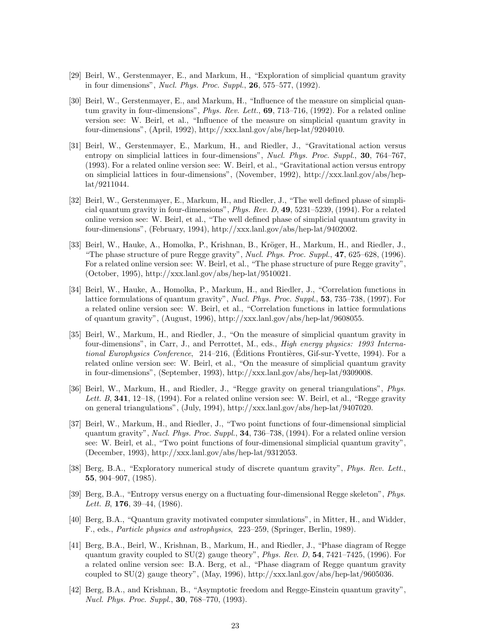- <span id="page-22-0"></span>[29] Beirl, W., Gerstenmayer, E., and Markum, H., "Exploration of simplicial quantum gravity in four dimensions", *Nucl. Phys. Proc. Suppl.*, 26, 575–577, (1992).
- [30] Beirl, W., Gerstenmayer, E., and Markum, H., "Influence of the measure on simplicial quantum gravity in four-dimensions", *Phys. Rev. Lett.*, 69, 713–716, (1992). For a related online version see: W. Beirl, et al., "Influence of the measure on simplicial quantum gravity in four-dimensions", (April, 1992), http://xxx.lanl.gov/abs/hep-lat/9204010.
- [31] Beirl, W., Gerstenmayer, E., Markum, H., and Riedler, J., "Gravitational action versus entropy on simplicial lattices in four-dimensions", *Nucl. Phys. Proc. Suppl.*, 30, 764–767, (1993). For a related online version see: W. Beirl, et al., "Gravitational action versus entropy on simplicial lattices in four-dimensions", (November, 1992), http://xxx.lanl.gov/abs/heplat/9211044.
- [32] Beirl, W., Gerstenmayer, E., Markum, H., and Riedler, J., "The well defined phase of simplicial quantum gravity in four-dimensions", *Phys. Rev. D*, 49, 5231–5239, (1994). For a related online version see: W. Beirl, et al., "The well defined phase of simplicial quantum gravity in four-dimensions", (February, 1994), http://xxx.lanl.gov/abs/hep-lat/9402002.
- [33] Beirl, W., Hauke, A., Homolka, P., Krishnan, B., Kröger, H., Markum, H., and Riedler, J., "The phase structure of pure Regge gravity", *Nucl. Phys. Proc. Suppl.*, 47, 625–628, (1996). For a related online version see: W. Beirl, et al., "The phase structure of pure Regge gravity", (October, 1995), http://xxx.lanl.gov/abs/hep-lat/9510021.
- [34] Beirl, W., Hauke, A., Homolka, P., Markum, H., and Riedler, J., "Correlation functions in lattice formulations of quantum gravity", *Nucl. Phys. Proc. Suppl.*, 53, 735–738, (1997). For a related online version see: W. Beirl, et al., "Correlation functions in lattice formulations of quantum gravity", (August, 1996), http://xxx.lanl.gov/abs/hep-lat/9608055.
- [35] Beirl, W., Markum, H., and Riedler, J., "On the measure of simplicial quantum gravity in four-dimensions", in Carr, J., and Perrottet, M., eds., *High energy physics: 1993 International Europhysics Conference*, 214–216, (Éditions Frontières, Gif-sur-Yvette, 1994). For a related online version see: W. Beirl, et al., "On the measure of simplicial quantum gravity in four-dimensions", (September, 1993), http://xxx.lanl.gov/abs/hep-lat/9309008.
- [36] Beirl, W., Markum, H., and Riedler, J., "Regge gravity on general triangulations", *Phys.* Lett. B, 341, 12–18, (1994). For a related online version see: W. Beirl, et al., "Regge gravity on general triangulations", (July, 1994), http://xxx.lanl.gov/abs/hep-lat/9407020.
- [37] Beirl, W., Markum, H., and Riedler, J., "Two point functions of four-dimensional simplicial quantum gravity", *Nucl. Phys. Proc. Suppl.*, 34, 736–738, (1994). For a related online version see: W. Beirl, et al., "Two point functions of four-dimensional simplicial quantum gravity", (December, 1993), http://xxx.lanl.gov/abs/hep-lat/9312053.
- [38] Berg, B.A., "Exploratory numerical study of discrete quantum gravity", *Phys. Rev. Lett.*, 55, 904–907, (1985).
- [39] Berg, B.A., "Entropy versus energy on a fluctuating four-dimensional Regge skeleton", *Phys. Lett. B*, 176, 39–44, (1986).
- [40] Berg, B.A., "Quantum gravity motivated computer simulations", in Mitter, H., and Widder, F., eds., *Particle physics and astrophysics*, 223–259, (Springer, Berlin, 1989).
- [41] Berg, B.A., Beirl, W., Krishnan, B., Markum, H., and Riedler, J., "Phase diagram of Regge quantum gravity coupled to SU(2) gauge theory", *Phys. Rev. D*, 54, 7421–7425, (1996). For a related online version see: B.A. Berg, et al., "Phase diagram of Regge quantum gravity coupled to  $SU(2)$  gauge theory", (May, 1996), http://xxx.lanl.gov/abs/hep-lat/9605036.
- [42] Berg, B.A., and Krishnan, B., "Asymptotic freedom and Regge-Einstein quantum gravity", *Nucl. Phys. Proc. Suppl.*, 30, 768–770, (1993).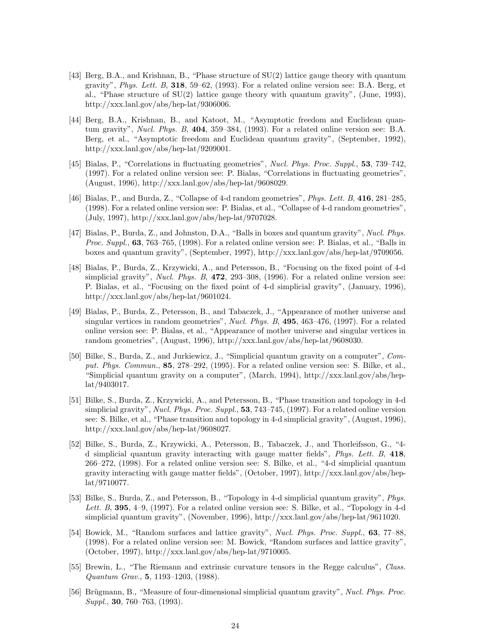- <span id="page-23-0"></span>[43] Berg, B.A., and Krishnan, B., "Phase structure of SU(2) lattice gauge theory with quantum gravity", *Phys. Lett. B*, 318, 59–62, (1993). For a related online version see: B.A. Berg, et al., "Phase structure of  $SU(2)$  lattice gauge theory with quantum gravity", (June, 1993), http://xxx.lanl.gov/abs/hep-lat/9306006.
- [44] Berg, B.A., Krishnan, B., and Katoot, M., "Asymptotic freedom and Euclidean quantum gravity", *Nucl. Phys. B*, 404, 359–384, (1993). For a related online version see: B.A. Berg, et al., "Asymptotic freedom and Euclidean quantum gravity", (September, 1992), http://xxx.lanl.gov/abs/hep-lat/9209001.
- [45] Bialas, P., "Correlations in fluctuating geometries", *Nucl. Phys. Proc. Suppl.*, 53, 739–742, (1997). For a related online version see: P. Bialas, "Correlations in fluctuating geometries", (August, 1996), http://xxx.lanl.gov/abs/hep-lat/9608029.
- [46] Bialas, P., and Burda, Z., "Collapse of 4-d random geometries", *Phys. Lett. B*, 416, 281–285, (1998). For a related online version see: P. Bialas, et al., "Collapse of 4-d random geometries", (July, 1997), http://xxx.lanl.gov/abs/hep-lat/9707028.
- [47] Bialas, P., Burda, Z., and Johnston, D.A., "Balls in boxes and quantum gravity", *Nucl. Phys. Proc. Suppl.*, 63, 763–765, (1998). For a related online version see: P. Bialas, et al., "Balls in boxes and quantum gravity", (September, 1997), http://xxx.lanl.gov/abs/hep-lat/9709056.
- [48] Bialas, P., Burda, Z., Krzywicki, A., and Petersson, B., "Focusing on the fixed point of 4-d simplicial gravity", *Nucl. Phys. B*, 472, 293–308, (1996). For a related online version see: P. Bialas, et al., "Focusing on the fixed point of 4-d simplicial gravity", (January, 1996), http://xxx.lanl.gov/abs/hep-lat/9601024.
- [49] Bialas, P., Burda, Z., Petersson, B., and Tabaczek, J., "Appearance of mother universe and singular vertices in random geometries", *Nucl. Phys. B*, 495, 463–476, (1997). For a related online version see: P. Bialas, et al., "Appearance of mother universe and singular vertices in random geometries", (August, 1996), http://xxx.lanl.gov/abs/hep-lat/9608030.
- [50] Bilke, S., Burda, Z., and Jurkiewicz, J., "Simplicial quantum gravity on a computer", *Comput. Phys. Commun.*, 85, 278–292, (1995). For a related online version see: S. Bilke, et al., "Simplicial quantum gravity on a computer", (March, 1994), http://xxx.lanl.gov/abs/heplat/9403017.
- [51] Bilke, S., Burda, Z., Krzywicki, A., and Petersson, B., "Phase transition and topology in 4-d simplicial gravity", *Nucl. Phys. Proc. Suppl.*, 53, 743–745, (1997). For a related online version see: S. Bilke, et al., "Phase transition and topology in 4-d simplicial gravity", (August, 1996), http://xxx.lanl.gov/abs/hep-lat/9608027.
- [52] Bilke, S., Burda, Z., Krzywicki, A., Petersson, B., Tabaczek, J., and Thorleifsson, G., "4 d simplicial quantum gravity interacting with gauge matter fields", *Phys. Lett. B*, 418, 266–272, (1998). For a related online version see: S. Bilke, et al., "4-d simplicial quantum gravity interacting with gauge matter fields", (October, 1997), http://xxx.lanl.gov/abs/heplat/9710077.
- [53] Bilke, S., Burda, Z., and Petersson, B., "Topology in 4-d simplicial quantum gravity", *Phys.* Lett. B, 395, 4–9, (1997). For a related online version see: S. Bilke, et al., "Topology in 4-d simplicial quantum gravity", (November, 1996), http://xxx.lanl.gov/abs/hep-lat/9611020.
- [54] Bowick, M., "Random surfaces and lattice gravity", *Nucl. Phys. Proc. Suppl.*, 63, 77–88, (1998). For a related online version see: M. Bowick, "Random surfaces and lattice gravity", (October, 1997), http://xxx.lanl.gov/abs/hep-lat/9710005.
- [55] Brewin, L., "The Riemann and extrinsic curvature tensors in the Regge calculus", *Class. Quantum Grav.*, 5, 1193–1203, (1988).
- [56] Brügmann, B., "Measure of four-dimensional simplicial quantum gravity", *Nucl. Phys. Proc. Suppl.*, 30, 760–763, (1993).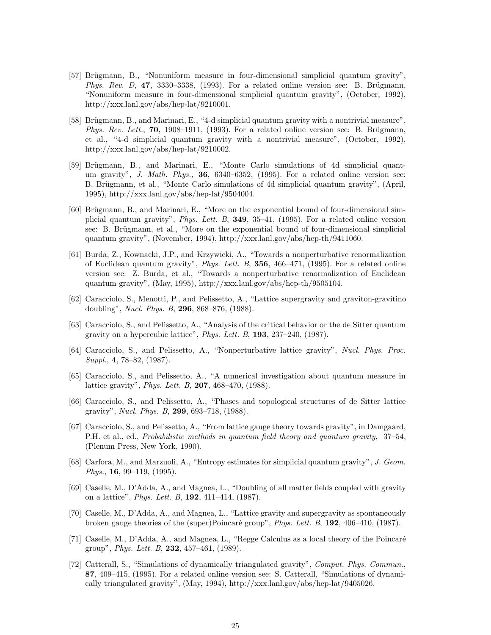- <span id="page-24-0"></span>[57] Brügmann, B., "Nonuniform measure in four-dimensional simplicial quantum gravity", *Phys. Rev. D*, 47, 3330–3338, (1993). For a related online version see: B. Brügmann, "Nonuniform measure in four-dimensional simplicial quantum gravity", (October, 1992), http://xxx.lanl.gov/abs/hep-lat/9210001.
- [58] Brügmann, B., and Marinari, E., "4-d simplicial quantum gravity with a nontrivial measure", *Phys. Rev. Lett.*, **70**, 1908–1911, (1993). For a related online version see: B. Brügmann, et al., "4-d simplicial quantum gravity with a nontrivial measure", (October, 1992), http://xxx.lanl.gov/abs/hep-lat/9210002.
- [59] Brügmann, B., and Marinari, E., "Monte Carlo simulations of 4d simplicial quantum gravity", *J. Math. Phys.*, 36, 6340–6352, (1995). For a related online version see: B. Brügmann, et al., "Monte Carlo simulations of 4d simplicial quantum gravity", (April, 1995), http://xxx.lanl.gov/abs/hep-lat/9504004.
- [60] Brügmann, B., and Marinari, E., "More on the exponential bound of four-dimensional simplicial quantum gravity", *Phys. Lett. B*, 349, 35–41, (1995). For a related online version see: B. Brügmann, et al., "More on the exponential bound of four-dimensional simplicial quantum gravity", (November, 1994), http://xxx.lanl.gov/abs/hep-th/9411060.
- [61] Burda, Z., Kownacki, J.P., and Krzywicki, A., "Towards a nonperturbative renormalization of Euclidean quantum gravity", *Phys. Lett. B*, 356, 466–471, (1995). For a related online version see: Z. Burda, et al., "Towards a nonperturbative renormalization of Euclidean quantum gravity", (May, 1995), http://xxx.lanl.gov/abs/hep-th/9505104.
- [62] Caracciolo, S., Menotti, P., and Pelissetto, A., "Lattice supergravity and graviton-gravitino doubling", *Nucl. Phys. B*, 296, 868–876, (1988).
- [63] Caracciolo, S., and Pelissetto, A., "Analysis of the critical behavior or the de Sitter quantum gravity on a hypercubic lattice", *Phys. Lett. B*, 193, 237–240, (1987).
- [64] Caracciolo, S., and Pelissetto, A., "Nonperturbative lattice gravity", *Nucl. Phys. Proc. Suppl.*, 4, 78–82, (1987).
- [65] Caracciolo, S., and Pelissetto, A., "A numerical investigation about quantum measure in lattice gravity", *Phys. Lett. B*, 207, 468–470, (1988).
- [66] Caracciolo, S., and Pelissetto, A., "Phases and topological structures of de Sitter lattice gravity", *Nucl. Phys. B*, 299, 693–718, (1988).
- [67] Caracciolo, S., and Pelissetto, A., "From lattice gauge theory towards gravity", in Damgaard, P.H. et al., ed., *Probabilistic methods in quantum field theory and quantum gravity*, 37–54, (Plenum Press, New York, 1990).
- [68] Carfora, M., and Marzuoli, A., "Entropy estimates for simplicial quantum gravity", *J. Geom. Phys.*, 16, 99–119, (1995).
- [69] Caselle, M., D'Adda, A., and Magnea, L., "Doubling of all matter fields coupled with gravity on a lattice", *Phys. Lett. B*, 192, 411–414, (1987).
- [70] Caselle, M., D'Adda, A., and Magnea, L., "Lattice gravity and supergravity as spontaneously broken gauge theories of the (super)Poincaré group", *Phys. Lett. B*, **192**, 406–410, (1987).
- [71] Caselle, M., D'Adda, A., and Magnea, L., "Regge Calculus as a local theory of the Poincar´e group", *Phys. Lett. B*, 232, 457–461, (1989).
- [72] Catterall, S., "Simulations of dynamically triangulated gravity", *Comput. Phys. Commun.*, 87, 409–415, (1995). For a related online version see: S. Catterall, "Simulations of dynamically triangulated gravity", (May, 1994), http://xxx.lanl.gov/abs/hep-lat/9405026.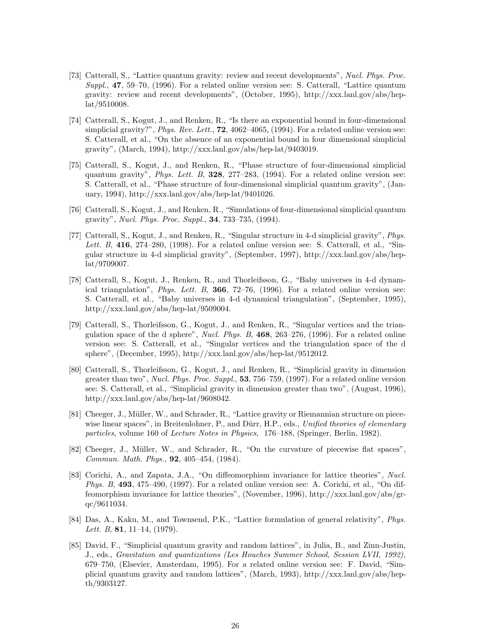- <span id="page-25-0"></span>[73] Catterall, S., "Lattice quantum gravity: review and recent developments", *Nucl. Phys. Proc. Suppl.*, 47, 59–70, (1996). For a related online version see: S. Catterall, "Lattice quantum gravity: review and recent developments", (October, 1995), http://xxx.lanl.gov/abs/heplat/9510008.
- [74] Catterall, S., Kogut, J., and Renken, R., "Is there an exponential bound in four-dimensional simplicial gravity?", *Phys. Rev. Lett.*, 72, 4062–4065, (1994). For a related online version see: S. Catterall, et al., "On the absence of an exponential bound in four dimensional simplicial gravity", (March, 1994), http://xxx.lanl.gov/abs/hep-lat/9403019.
- [75] Catterall, S., Kogut, J., and Renken, R., "Phase structure of four-dimensional simplicial quantum gravity", *Phys. Lett. B*, 328, 277–283, (1994). For a related online version see: S. Catterall, et al., "Phase structure of four-dimensional simplicial quantum gravity", (January, 1994), http://xxx.lanl.gov/abs/hep-lat/9401026.
- [76] Catterall, S., Kogut, J., and Renken, R., "Simulations of four-dimensional simplicial quantum gravity", *Nucl. Phys. Proc. Suppl.*, 34, 733–735, (1994).
- [77] Catterall, S., Kogut, J., and Renken, R., "Singular structure in 4-d simplicial gravity", *Phys. Lett. B*, 416, 274–280, (1998). For a related online version see: S. Catterall, et al., "Singular structure in 4-d simplicial gravity", (September, 1997), http://xxx.lanl.gov/abs/heplat/9709007.
- [78] Catterall, S., Kogut, J., Renken, R., and Thorleifsson, G., "Baby universes in 4-d dynamical triangulation", *Phys. Lett. B*, 366, 72–76, (1996). For a related online version see: S. Catterall, et al., "Baby universes in 4-d dynamical triangulation", (September, 1995), http://xxx.lanl.gov/abs/hep-lat/9509004.
- [79] Catterall, S., Thorleifsson, G., Kogut, J., and Renken, R., "Singular vertices and the triangulation space of the d sphere", *Nucl. Phys. B*, 468, 263–276, (1996). For a related online version see: S. Catterall, et al., "Singular vertices and the triangulation space of the d sphere", (December, 1995), http://xxx.lanl.gov/abs/hep-lat/9512012.
- [80] Catterall, S., Thorleifsson, G., Kogut, J., and Renken, R., "Simplicial gravity in dimension greater than two", *Nucl. Phys. Proc. Suppl.*, 53, 756–759, (1997). For a related online version see: S. Catterall, et al., "Simplicial gravity in dimension greater than two", (August, 1996), http://xxx.lanl.gov/abs/hep-lat/9608042.
- [81] Cheeger, J., Müller, W., and Schrader, R., "Lattice gravity or Riemannian structure on piecewise linear spaces", in Breitenlohner, P., and Dürr, H.P., eds., *Unified theories of elementary particles*, volume 160 of *Lecture Notes in Physics*, 176–188, (Springer, Berlin, 1982).
- [82] Cheeger, J., Müller, W., and Schrader, R., "On the curvature of piecewise flat spaces", *Commun. Math. Phys.*, 92, 405–454, (1984).
- [83] Corichi, A., and Zapata, J.A., "On diffeomorphism invariance for lattice theories", *Nucl. Phys. B*, 493, 475–490, (1997). For a related online version see: A. Corichi, et al., "On diffeomorphism invariance for lattice theories", (November, 1996), http://xxx.lanl.gov/abs/grqc/9611034.
- [84] Das, A., Kaku, M., and Townsend, P.K., "Lattice formulation of general relativity", *Phys. Lett. B*, 81, 11–14, (1979).
- [85] David, F., "Simplicial quantum gravity and random lattices", in Julia, B., and Zinn-Justin, J., eds., *Gravitation and quantizations (Les Houches Summer School, Session LVII, 1992)*, 679–750, (Elsevier, Amsterdam, 1995). For a related online version see: F. David, "Simplicial quantum gravity and random lattices", (March, 1993), http://xxx.lanl.gov/abs/hepth/9303127.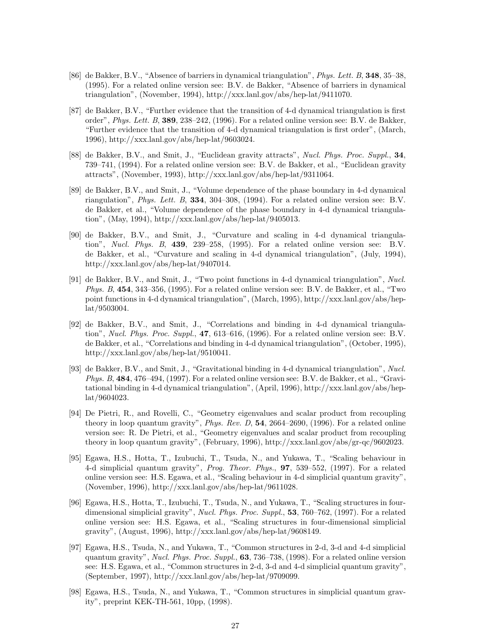- <span id="page-26-0"></span>[86] de Bakker, B.V., "Absence of barriers in dynamical triangulation", *Phys. Lett. B*, 348, 35–38, (1995). For a related online version see: B.V. de Bakker, "Absence of barriers in dynamical triangulation", (November, 1994), http://xxx.lanl.gov/abs/hep-lat/9411070.
- [87] de Bakker, B.V., "Further evidence that the transition of 4-d dynamical triangulation is first order", *Phys. Lett. B*, 389, 238–242, (1996). For a related online version see: B.V. de Bakker, "Further evidence that the transition of 4-d dynamical triangulation is first order", (March, 1996), http://xxx.lanl.gov/abs/hep-lat/9603024.
- [88] de Bakker, B.V., and Smit, J., "Euclidean gravity attracts", *Nucl. Phys. Proc. Suppl.*, 34, 739–741, (1994). For a related online version see: B.V. de Bakker, et al., "Euclidean gravity attracts", (November, 1993), http://xxx.lanl.gov/abs/hep-lat/9311064.
- [89] de Bakker, B.V., and Smit, J., "Volume dependence of the phase boundary in 4-d dynamical riangulation", *Phys. Lett. B*, 334, 304–308, (1994). For a related online version see: B.V. de Bakker, et al., "Volume dependence of the phase boundary in 4-d dynamical triangulation", (May, 1994), http://xxx.lanl.gov/abs/hep-lat/9405013.
- [90] de Bakker, B.V., and Smit, J., "Curvature and scaling in 4-d dynamical triangulation", *Nucl. Phys. B*, 439, 239–258, (1995). For a related online version see: B.V. de Bakker, et al., "Curvature and scaling in 4-d dynamical triangulation", (July, 1994), http://xxx.lanl.gov/abs/hep-lat/9407014.
- [91] de Bakker, B.V., and Smit, J., "Two point functions in 4-d dynamical triangulation", *Nucl. Phys. B*, 454, 343–356, (1995). For a related online version see: B.V. de Bakker, et al., "Two point functions in 4-d dynamical triangulation", (March, 1995), http://xxx.lanl.gov/abs/heplat/9503004.
- [92] de Bakker, B.V., and Smit, J., "Correlations and binding in 4-d dynamical triangulation", *Nucl. Phys. Proc. Suppl.*, 47, 613–616, (1996). For a related online version see: B.V. de Bakker, et al., "Correlations and binding in 4-d dynamical triangulation", (October, 1995), http://xxx.lanl.gov/abs/hep-lat/9510041.
- [93] de Bakker, B.V., and Smit, J., "Gravitational binding in 4-d dynamical triangulation", *Nucl. Phys. B*, 484, 476–494, (1997). For a related online version see: B.V. de Bakker, et al., "Gravitational binding in 4-d dynamical triangulation", (April, 1996), http://xxx.lanl.gov/abs/heplat/9604023.
- [94] De Pietri, R., and Rovelli, C., "Geometry eigenvalues and scalar product from recoupling theory in loop quantum gravity", *Phys. Rev. D*, 54, 2664–2690, (1996). For a related online version see: R. De Pietri, et al., "Geometry eigenvalues and scalar product from recoupling theory in loop quantum gravity", (February, 1996), http://xxx.lanl.gov/abs/gr-qc/9602023.
- [95] Egawa, H.S., Hotta, T., Izubuchi, T., Tsuda, N., and Yukawa, T., "Scaling behaviour in 4-d simplicial quantum gravity", *Prog. Theor. Phys.*, 97, 539–552, (1997). For a related online version see: H.S. Egawa, et al., "Scaling behaviour in 4-d simplicial quantum gravity", (November, 1996), http://xxx.lanl.gov/abs/hep-lat/9611028.
- [96] Egawa, H.S., Hotta, T., Izubuchi, T., Tsuda, N., and Yukawa, T., "Scaling structures in fourdimensional simplicial gravity", *Nucl. Phys. Proc. Suppl.*, 53, 760–762, (1997). For a related online version see: H.S. Egawa, et al., "Scaling structures in four-dimensional simplicial gravity", (August, 1996), http://xxx.lanl.gov/abs/hep-lat/9608149.
- [97] Egawa, H.S., Tsuda, N., and Yukawa, T., "Common structures in 2-d, 3-d and 4-d simplicial quantum gravity", *Nucl. Phys. Proc. Suppl.*, 63, 736–738, (1998). For a related online version see: H.S. Egawa, et al., "Common structures in 2-d, 3-d and 4-d simplicial quantum gravity", (September, 1997), http://xxx.lanl.gov/abs/hep-lat/9709099.
- [98] Egawa, H.S., Tsuda, N., and Yukawa, T., "Common structures in simplicial quantum gravity", preprint KEK-TH-561, 10pp, (1998).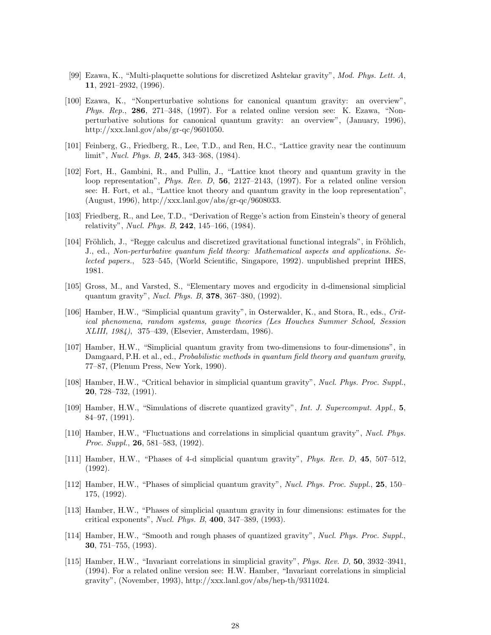- <span id="page-27-0"></span>[99] Ezawa, K., "Multi-plaquette solutions for discretized Ashtekar gravity", *Mod. Phys. Lett. A*, 11, 2921–2932, (1996).
- [100] Ezawa, K., "Nonperturbative solutions for canonical quantum gravity: an overview", *Phys. Rep.*, 286, 271–348, (1997). For a related online version see: K. Ezawa, "Nonperturbative solutions for canonical quantum gravity: an overview", (January, 1996), http://xxx.lanl.gov/abs/gr-qc/9601050.
- [101] Feinberg, G., Friedberg, R., Lee, T.D., and Ren, H.C., "Lattice gravity near the continuum limit", *Nucl. Phys. B*, 245, 343–368, (1984).
- [102] Fort, H., Gambini, R., and Pullin, J., "Lattice knot theory and quantum gravity in the loop representation", *Phys. Rev. D*, 56, 2127–2143, (1997). For a related online version see: H. Fort, et al., "Lattice knot theory and quantum gravity in the loop representation", (August, 1996), http://xxx.lanl.gov/abs/gr-qc/9608033.
- [103] Friedberg, R., and Lee, T.D., "Derivation of Regge's action from Einstein's theory of general relativity", *Nucl. Phys. B*, 242, 145–166, (1984).
- [104] Fröhlich, J., "Regge calculus and discretized gravitational functional integrals", in Fröhlich, J., ed., *Non-perturbative quantum field theory: Mathematical aspects and applications. Selected papers.*, 523–545, (World Scientific, Singapore, 1992). unpublished preprint IHES, 1981.
- [105] Gross, M., and Varsted, S., "Elementary moves and ergodicity in d-dimensional simplicial quantum gravity", *Nucl. Phys. B*, 378, 367–380, (1992).
- [106] Hamber, H.W., "Simplicial quantum gravity", in Osterwalder, K., and Stora, R., eds., *Critical phenomena, random systems, gauge theories (Les Houches Summer School, Session XLIII, 1984)*, 375–439, (Elsevier, Amsterdam, 1986).
- [107] Hamber, H.W., "Simplicial quantum gravity from two-dimensions to four-dimensions", in Damgaard, P.H. et al., ed., *Probabilistic methods in quantum field theory and quantum gravity*, 77–87, (Plenum Press, New York, 1990).
- [108] Hamber, H.W., "Critical behavior in simplicial quantum gravity", *Nucl. Phys. Proc. Suppl.*, 20, 728–732, (1991).
- [109] Hamber, H.W., "Simulations of discrete quantized gravity", *Int. J. Supercomput. Appl.*, 5, 84–97, (1991).
- [110] Hamber, H.W., "Fluctuations and correlations in simplicial quantum gravity", *Nucl. Phys. Proc. Suppl.*, 26, 581–583, (1992).
- [111] Hamber, H.W., "Phases of 4-d simplicial quantum gravity", *Phys. Rev. D*, 45, 507–512, (1992).
- [112] Hamber, H.W., "Phases of simplicial quantum gravity", *Nucl. Phys. Proc. Suppl.*, 25, 150– 175, (1992).
- [113] Hamber, H.W., "Phases of simplicial quantum gravity in four dimensions: estimates for the critical exponents", *Nucl. Phys. B*, 400, 347–389, (1993).
- [114] Hamber, H.W., "Smooth and rough phases of quantized gravity", *Nucl. Phys. Proc. Suppl.*, 30, 751–755, (1993).
- [115] Hamber, H.W., "Invariant correlations in simplicial gravity", *Phys. Rev. D*, 50, 3932–3941, (1994). For a related online version see: H.W. Hamber, "Invariant correlations in simplicial gravity", (November, 1993), http://xxx.lanl.gov/abs/hep-th/9311024.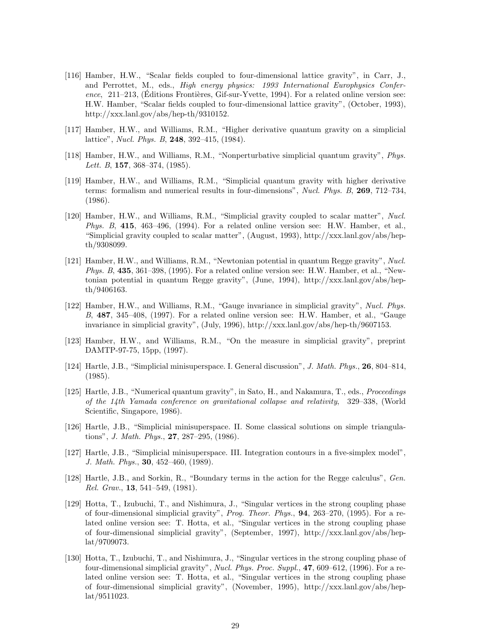- <span id="page-28-0"></span>[116] Hamber, H.W., "Scalar fields coupled to four-dimensional lattice gravity", in Carr, J., and Perrottet, M., eds., *High energy physics: 1993 International Europhysics Conference*, 211–213, (Editions Frontières, Gif-sur-Yvette, 1994). For a related online version see: H.W. Hamber, "Scalar fields coupled to four-dimensional lattice gravity", (October, 1993), http://xxx.lanl.gov/abs/hep-th/9310152.
- [117] Hamber, H.W., and Williams, R.M., "Higher derivative quantum gravity on a simplicial lattice", *Nucl. Phys. B*, 248, 392–415, (1984).
- [118] Hamber, H.W., and Williams, R.M., "Nonperturbative simplicial quantum gravity", *Phys. Lett. B*, 157, 368–374, (1985).
- [119] Hamber, H.W., and Williams, R.M., "Simplicial quantum gravity with higher derivative terms: formalism and numerical results in four-dimensions", *Nucl. Phys. B*, 269, 712–734, (1986).
- [120] Hamber, H.W., and Williams, R.M., "Simplicial gravity coupled to scalar matter", *Nucl. Phys. B*, 415, 463–496, (1994). For a related online version see: H.W. Hamber, et al., "Simplicial gravity coupled to scalar matter", (August, 1993), http://xxx.lanl.gov/abs/hepth/9308099.
- [121] Hamber, H.W., and Williams, R.M., "Newtonian potential in quantum Regge gravity", *Nucl. Phys. B*, 435, 361–398, (1995). For a related online version see: H.W. Hamber, et al., "Newtonian potential in quantum Regge gravity", (June, 1994), http://xxx.lanl.gov/abs/hepth/9406163.
- [122] Hamber, H.W., and Williams, R.M., "Gauge invariance in simplicial gravity", *Nucl. Phys. B*, 487, 345–408, (1997). For a related online version see: H.W. Hamber, et al., "Gauge invariance in simplicial gravity", (July, 1996), http://xxx.lanl.gov/abs/hep-th/9607153.
- [123] Hamber, H.W., and Williams, R.M., "On the measure in simplicial gravity", preprint DAMTP-97-75, 15pp, (1997).
- [124] Hartle, J.B., "Simplicial minisuperspace. I. General discussion", *J. Math. Phys.*, 26, 804–814, (1985).
- [125] Hartle, J.B., "Numerical quantum gravity", in Sato, H., and Nakamura, T., eds., *Proceedings of the 14th Yamada conference on gravitational collapse and relativity*, 329–338, (World Scientific, Singapore, 1986).
- [126] Hartle, J.B., "Simplicial minisuperspace. II. Some classical solutions on simple triangulations", *J. Math. Phys.*, 27, 287–295, (1986).
- [127] Hartle, J.B., "Simplicial minisuperspace. III. Integration contours in a five-simplex model", *J. Math. Phys.*, 30, 452–460, (1989).
- [128] Hartle, J.B., and Sorkin, R., "Boundary terms in the action for the Regge calculus", *Gen. Rel. Grav.*, 13, 541–549, (1981).
- [129] Hotta, T., Izubuchi, T., and Nishimura, J., "Singular vertices in the strong coupling phase of four-dimensional simplicial gravity", *Prog. Theor. Phys.*, 94, 263–270, (1995). For a related online version see: T. Hotta, et al., "Singular vertices in the strong coupling phase of four-dimensional simplicial gravity", (September, 1997), http://xxx.lanl.gov/abs/heplat/9709073.
- [130] Hotta, T., Izubuchi, T., and Nishimura, J., "Singular vertices in the strong coupling phase of four-dimensional simplicial gravity", *Nucl. Phys. Proc. Suppl.*, 47, 609–612, (1996). For a related online version see: T. Hotta, et al., "Singular vertices in the strong coupling phase of four-dimensional simplicial gravity", (November, 1995), http://xxx.lanl.gov/abs/heplat/9511023.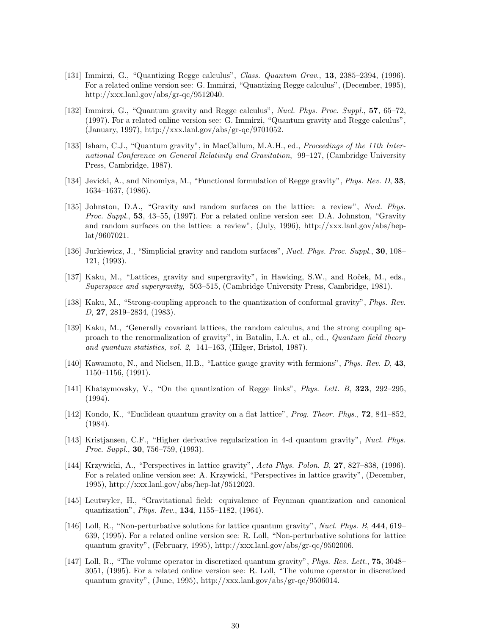- <span id="page-29-0"></span>[131] Immirzi, G., "Quantizing Regge calculus", *Class. Quantum Grav.*, 13, 2385–2394, (1996). For a related online version see: G. Immirzi, "Quantizing Regge calculus", (December, 1995), http://xxx.lanl.gov/abs/gr-qc/9512040.
- [132] Immirzi, G., "Quantum gravity and Regge calculus", *Nucl. Phys. Proc. Suppl.*, 57, 65–72, (1997). For a related online version see: G. Immirzi, "Quantum gravity and Regge calculus", (January, 1997), http://xxx.lanl.gov/abs/gr-qc/9701052.
- [133] Isham, C.J., "Quantum gravity", in MacCallum, M.A.H., ed., *Proceedings of the 11th International Conference on General Relativity and Gravitation*, 99–127, (Cambridge University Press, Cambridge, 1987).
- [134] Jevicki, A., and Ninomiya, M., "Functional formulation of Regge gravity", *Phys. Rev. D*, 33, 1634–1637, (1986).
- [135] Johnston, D.A., "Gravity and random surfaces on the lattice: a review", *Nucl. Phys. Proc. Suppl.*, 53, 43–55, (1997). For a related online version see: D.A. Johnston, "Gravity and random surfaces on the lattice: a review",  $(\text{July}, 1996)$ , http://xxx.lanl.gov/abs/heplat/9607021.
- [136] Jurkiewicz, J., "Simplicial gravity and random surfaces", *Nucl. Phys. Proc. Suppl.*, 30, 108– 121, (1993).
- [137] Kaku, M., "Lattices, gravity and supergravity", in Hawking, S.W., and Roček, M., eds., *Superspace and supergravity*, 503–515, (Cambridge University Press, Cambridge, 1981).
- [138] Kaku, M., "Strong-coupling approach to the quantization of conformal gravity", *Phys. Rev. D*, 27, 2819–2834, (1983).
- [139] Kaku, M., "Generally covariant lattices, the random calculus, and the strong coupling approach to the renormalization of gravity", in Batalin, I.A. et al., ed., *Quantum field theory and quantum statistics, vol. 2*, 141–163, (Hilger, Bristol, 1987).
- [140] Kawamoto, N., and Nielsen, H.B., "Lattice gauge gravity with fermions", *Phys. Rev. D*, 43, 1150–1156, (1991).
- [141] Khatsymovsky, V., "On the quantization of Regge links", *Phys. Lett. B*, 323, 292–295, (1994).
- [142] Kondo, K., "Euclidean quantum gravity on a flat lattice", *Prog. Theor. Phys.*, 72, 841–852, (1984).
- [143] Kristjansen, C.F., "Higher derivative regularization in 4-d quantum gravity", *Nucl. Phys. Proc. Suppl.*, 30, 756–759, (1993).
- [144] Krzywicki, A., "Perspectives in lattice gravity", *Acta Phys. Polon. B*, 27, 827–838, (1996). For a related online version see: A. Krzywicki, "Perspectives in lattice gravity", (December, 1995), http://xxx.lanl.gov/abs/hep-lat/9512023.
- [145] Leutwyler, H., "Gravitational field: equivalence of Feynman quantization and canonical quantization", *Phys. Rev.*, 134, 1155–1182, (1964).
- [146] Loll, R., "Non-perturbative solutions for lattice quantum gravity", *Nucl. Phys. B*, 444, 619– 639, (1995). For a related online version see: R. Loll, "Non-perturbative solutions for lattice quantum gravity", (February, 1995), http://xxx.lanl.gov/abs/gr-qc/9502006.
- [147] Loll, R., "The volume operator in discretized quantum gravity", *Phys. Rev. Lett.*, 75, 3048– 3051, (1995). For a related online version see: R. Loll, "The volume operator in discretized quantum gravity", (June, 1995), http://xxx.lanl.gov/abs/gr-qc/9506014.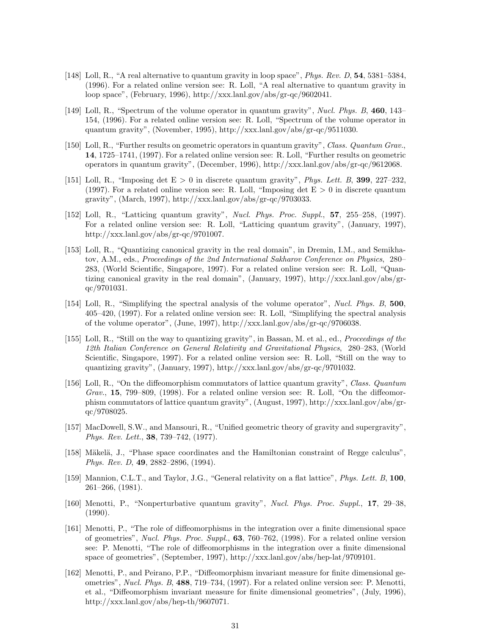- <span id="page-30-0"></span>[148] Loll, R., "A real alternative to quantum gravity in loop space", *Phys. Rev. D*, 54, 5381–5384, (1996). For a related online version see: R. Loll, "A real alternative to quantum gravity in loop space", (February, 1996), http://xxx.lanl.gov/abs/gr-qc/9602041.
- [149] Loll, R., "Spectrum of the volume operator in quantum gravity", *Nucl. Phys. B*, 460, 143– 154, (1996). For a related online version see: R. Loll, "Spectrum of the volume operator in quantum gravity", (November, 1995), http://xxx.lanl.gov/abs/gr-qc/9511030.
- [150] Loll, R., "Further results on geometric operators in quantum gravity", *Class. Quantum Grav.*, 14, 1725–1741, (1997). For a related online version see: R. Loll, "Further results on geometric operators in quantum gravity", (December, 1996), http://xxx.lanl.gov/abs/gr-qc/9612068.
- [151] Loll, R., "Imposing det E > 0 in discrete quantum gravity", *Phys. Lett. B*, 399, 227–232, (1997). For a related online version see: R. Loll, "Imposing det  $E > 0$  in discrete quantum gravity", (March, 1997), http://xxx.lanl.gov/abs/gr-qc/9703033.
- [152] Loll, R., "Latticing quantum gravity", *Nucl. Phys. Proc. Suppl.*, 57, 255–258, (1997). For a related online version see: R. Loll, "Latticing quantum gravity", (January, 1997), http://xxx.lanl.gov/abs/gr-qc/9701007.
- [153] Loll, R., "Quantizing canonical gravity in the real domain", in Dremin, I.M., and Semikhatov, A.M., eds., *Proceedings of the 2nd International Sakharov Conference on Physics*, 280– 283, (World Scientific, Singapore, 1997). For a related online version see: R. Loll, "Quantizing canonical gravity in the real domain", (January, 1997), http://xxx.lanl.gov/abs/grqc/9701031.
- [154] Loll, R., "Simplifying the spectral analysis of the volume operator", *Nucl. Phys. B*, 500, 405–420, (1997). For a related online version see: R. Loll, "Simplifying the spectral analysis of the volume operator", (June, 1997), http://xxx.lanl.gov/abs/gr-qc/9706038.
- [155] Loll, R., "Still on the way to quantizing gravity", in Bassan, M. et al., ed., *Proceedings of the 12th Italian Conference on General Relativity and Gravitational Physics*, 280–283, (World Scientific, Singapore, 1997). For a related online version see: R. Loll, "Still on the way to quantizing gravity", (January, 1997), http://xxx.lanl.gov/abs/gr-qc/9701032.
- [156] Loll, R., "On the diffeomorphism commutators of lattice quantum gravity", *Class. Quantum Grav.*, 15, 799–809, (1998). For a related online version see: R. Loll, "On the diffeomorphism commutators of lattice quantum gravity", (August, 1997), http://xxx.lanl.gov/abs/grqc/9708025.
- [157] MacDowell, S.W., and Mansouri, R., "Unified geometric theory of gravity and supergravity", *Phys. Rev. Lett.*, 38, 739–742, (1977).
- [158] Mäkelä, J., "Phase space coordinates and the Hamiltonian constraint of Regge calculus", *Phys. Rev. D*, 49, 2882–2896, (1994).
- [159] Mannion, C.L.T., and Taylor, J.G., "General relativity on a flat lattice", *Phys. Lett. B*, 100, 261–266, (1981).
- [160] Menotti, P., "Nonperturbative quantum gravity", *Nucl. Phys. Proc. Suppl.*, 17, 29–38, (1990).
- [161] Menotti, P., "The role of diffeomorphisms in the integration over a finite dimensional space of geometries", *Nucl. Phys. Proc. Suppl.*, 63, 760–762, (1998). For a related online version see: P. Menotti, "The role of diffeomorphisms in the integration over a finite dimensional space of geometries", (September, 1997), http://xxx.lanl.gov/abs/hep-lat/9709101.
- [162] Menotti, P., and Peirano, P.P., "Diffeomorphism invariant measure for finite dimensional geometries", *Nucl. Phys. B*, 488, 719–734, (1997). For a related online version see: P. Menotti, et al., "Diffeomorphism invariant measure for finite dimensional geometries", (July, 1996), http://xxx.lanl.gov/abs/hep-th/9607071.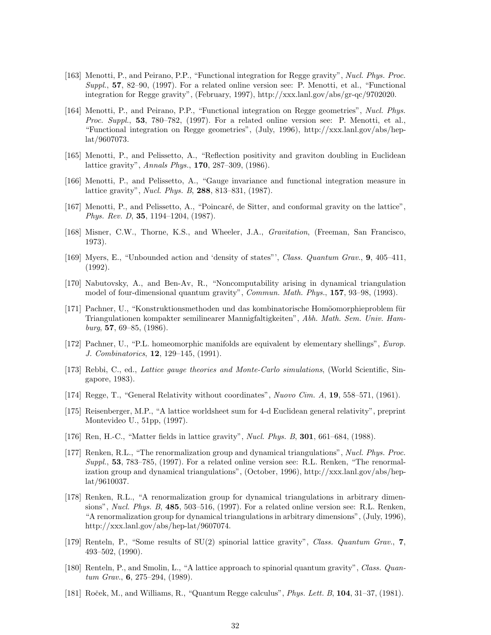- <span id="page-31-0"></span>[163] Menotti, P., and Peirano, P.P., "Functional integration for Regge gravity", *Nucl. Phys. Proc. Suppl.*, 57, 82–90, (1997). For a related online version see: P. Menotti, et al., "Functional integration for Regge gravity", (February, 1997), http://xxx.lanl.gov/abs/gr-qc/9702020.
- [164] Menotti, P., and Peirano, P.P., "Functional integration on Regge geometries", *Nucl. Phys. Proc. Suppl.*, 53, 780–782, (1997). For a related online version see: P. Menotti, et al., "Functional integration on Regge geometries", (July, 1996), http://xxx.lanl.gov/abs/heplat/9607073.
- [165] Menotti, P., and Pelissetto, A., "Reflection positivity and graviton doubling in Euclidean lattice gravity", *Annals Phys.*, 170, 287–309, (1986).
- [166] Menotti, P., and Pelissetto, A., "Gauge invariance and functional integration measure in lattice gravity", *Nucl. Phys. B*, 288, 813–831, (1987).
- [167] Menotti, P., and Pelissetto, A., "Poincaré, de Sitter, and conformal gravity on the lattice", *Phys. Rev. D*, 35, 1194–1204, (1987).
- [168] Misner, C.W., Thorne, K.S., and Wheeler, J.A., *Gravitation*, (Freeman, San Francisco, 1973).
- [169] Myers, E., "Unbounded action and 'density of states"', *Class. Quantum Grav.*, 9, 405–411, (1992).
- [170] Nabutovsky, A., and Ben-Av, R., "Noncomputability arising in dynamical triangulation model of four-dimensional quantum gravity", *Commun. Math. Phys.*, 157, 93–98, (1993).
- [171] Pachner, U., "Konstruktionsmethoden und das kombinatorische Homöomorphieproblem für Triangulationen kompakter semilinearer Mannigfaltigkeiten", *Abh. Math. Sem. Univ. Hamburg*, 57, 69–85, (1986).
- [172] Pachner, U., "P.L. homeomorphic manifolds are equivalent by elementary shellings", *Europ. J. Combinatorics*, 12, 129–145, (1991).
- [173] Rebbi, C., ed., *Lattice gauge theories and Monte-Carlo simulations*, (World Scientific, Singapore, 1983).
- [174] Regge, T., "General Relativity without coordinates", *Nuovo Cim. A*, 19, 558–571, (1961).
- [175] Reisenberger, M.P., "A lattice worldsheet sum for 4-d Euclidean general relativity", preprint Montevideo U., 51pp, (1997).
- [176] Ren, H.-C., "Matter fields in lattice gravity", *Nucl. Phys. B*, 301, 661–684, (1988).
- [177] Renken, R.L., "The renormalization group and dynamical triangulations", *Nucl. Phys. Proc. Suppl.*, 53, 783–785, (1997). For a related online version see: R.L. Renken, "The renormalization group and dynamical triangulations", (October, 1996), http://xxx.lanl.gov/abs/heplat/9610037.
- [178] Renken, R.L., "A renormalization group for dynamical triangulations in arbitrary dimensions", *Nucl. Phys. B*, 485, 503–516, (1997). For a related online version see: R.L. Renken, "A renormalization group for dynamical triangulations in arbitrary dimensions", (July, 1996), http://xxx.lanl.gov/abs/hep-lat/9607074.
- [179] Renteln, P., "Some results of SU(2) spinorial lattice gravity", *Class. Quantum Grav.*, 7, 493–502, (1990).
- [180] Renteln, P., and Smolin, L., "A lattice approach to spinorial quantum gravity", *Class. Quantum Grav.*, 6, 275–294, (1989).
- [181] Roček, M., and Williams, R., "Quantum Regge calculus", *Phys. Lett. B*, **104**, 31–37, (1981).